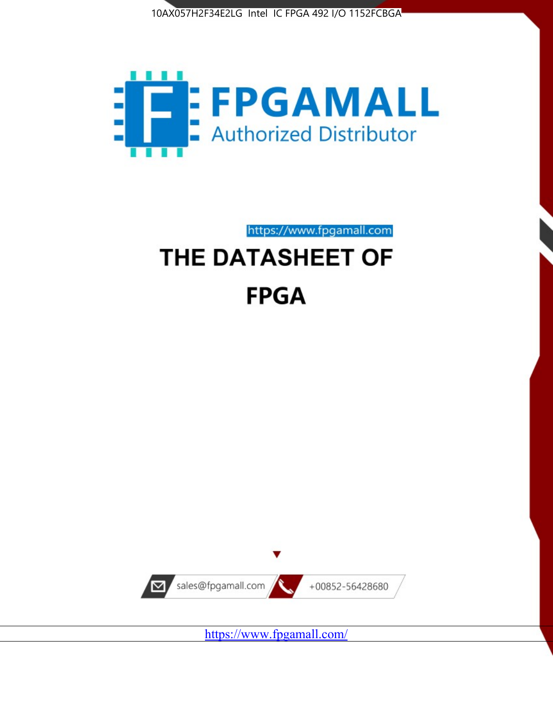



https://www.fpgamall.com

# THE DATASHEET OF **FPGA**



<https://www.fpgamall.com/>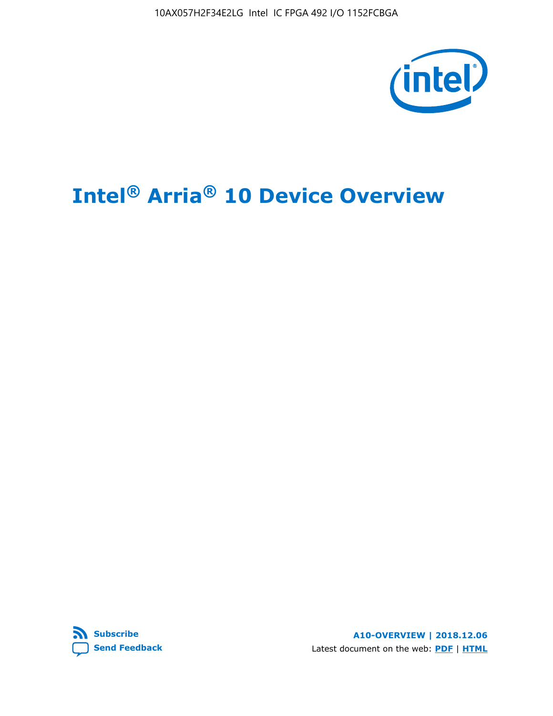10AX057H2F34E2LG Intel IC FPGA 492 I/O 1152FCBGA



# **Intel® Arria® 10 Device Overview**



**A10-OVERVIEW | 2018.12.06** Latest document on the web: **[PDF](https://www.intel.com/content/dam/www/programmable/us/en/pdfs/literature/hb/arria-10/a10_overview.pdf)** | **[HTML](https://www.intel.com/content/www/us/en/programmable/documentation/sam1403480274650.html)**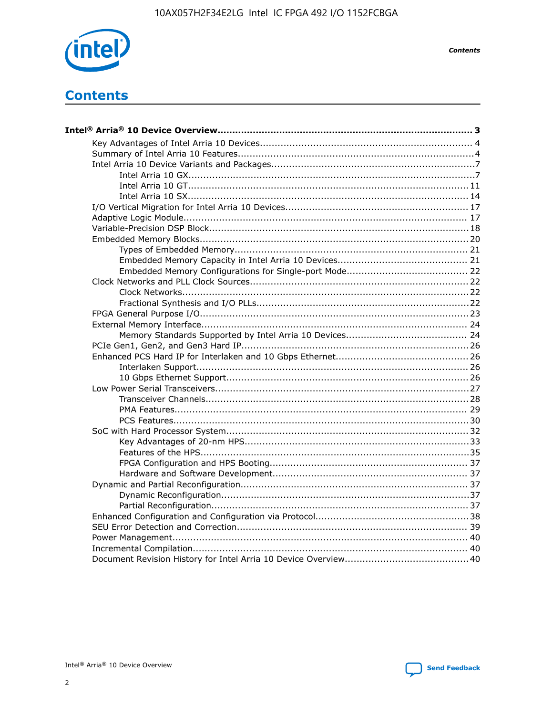

**Contents** 

# **Contents**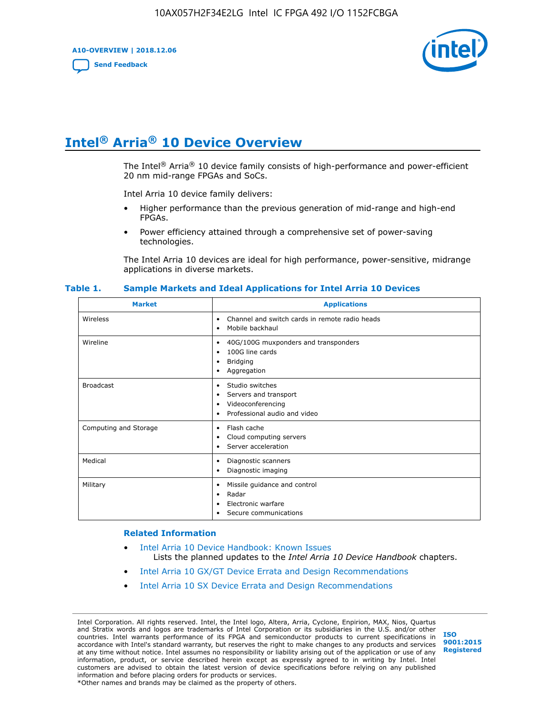**A10-OVERVIEW | 2018.12.06**

**[Send Feedback](mailto:FPGAtechdocfeedback@intel.com?subject=Feedback%20on%20Intel%20Arria%2010%20Device%20Overview%20(A10-OVERVIEW%202018.12.06)&body=We%20appreciate%20your%20feedback.%20In%20your%20comments,%20also%20specify%20the%20page%20number%20or%20paragraph.%20Thank%20you.)**



# **Intel® Arria® 10 Device Overview**

The Intel<sup>®</sup> Arria<sup>®</sup> 10 device family consists of high-performance and power-efficient 20 nm mid-range FPGAs and SoCs.

Intel Arria 10 device family delivers:

- Higher performance than the previous generation of mid-range and high-end FPGAs.
- Power efficiency attained through a comprehensive set of power-saving technologies.

The Intel Arria 10 devices are ideal for high performance, power-sensitive, midrange applications in diverse markets.

| <b>Market</b>         | <b>Applications</b>                                                                                               |
|-----------------------|-------------------------------------------------------------------------------------------------------------------|
| Wireless              | Channel and switch cards in remote radio heads<br>٠<br>Mobile backhaul<br>٠                                       |
| Wireline              | 40G/100G muxponders and transponders<br>٠<br>100G line cards<br>٠<br><b>Bridging</b><br>٠<br>Aggregation<br>٠     |
| <b>Broadcast</b>      | Studio switches<br>٠<br>Servers and transport<br>٠<br>Videoconferencing<br>٠<br>Professional audio and video<br>٠ |
| Computing and Storage | Flash cache<br>٠<br>Cloud computing servers<br>٠<br>Server acceleration<br>٠                                      |
| Medical               | Diagnostic scanners<br>٠<br>Diagnostic imaging<br>٠                                                               |
| Military              | Missile guidance and control<br>٠<br>Radar<br>٠<br>Electronic warfare<br>٠<br>Secure communications<br>٠          |

#### **Table 1. Sample Markets and Ideal Applications for Intel Arria 10 Devices**

#### **Related Information**

- [Intel Arria 10 Device Handbook: Known Issues](http://www.altera.com/support/kdb/solutions/rd07302013_646.html) Lists the planned updates to the *Intel Arria 10 Device Handbook* chapters.
- [Intel Arria 10 GX/GT Device Errata and Design Recommendations](https://www.intel.com/content/www/us/en/programmable/documentation/agz1493851706374.html#yqz1494433888646)
- [Intel Arria 10 SX Device Errata and Design Recommendations](https://www.intel.com/content/www/us/en/programmable/documentation/cru1462832385668.html#cru1462832558642)

Intel Corporation. All rights reserved. Intel, the Intel logo, Altera, Arria, Cyclone, Enpirion, MAX, Nios, Quartus and Stratix words and logos are trademarks of Intel Corporation or its subsidiaries in the U.S. and/or other countries. Intel warrants performance of its FPGA and semiconductor products to current specifications in accordance with Intel's standard warranty, but reserves the right to make changes to any products and services at any time without notice. Intel assumes no responsibility or liability arising out of the application or use of any information, product, or service described herein except as expressly agreed to in writing by Intel. Intel customers are advised to obtain the latest version of device specifications before relying on any published information and before placing orders for products or services. \*Other names and brands may be claimed as the property of others.

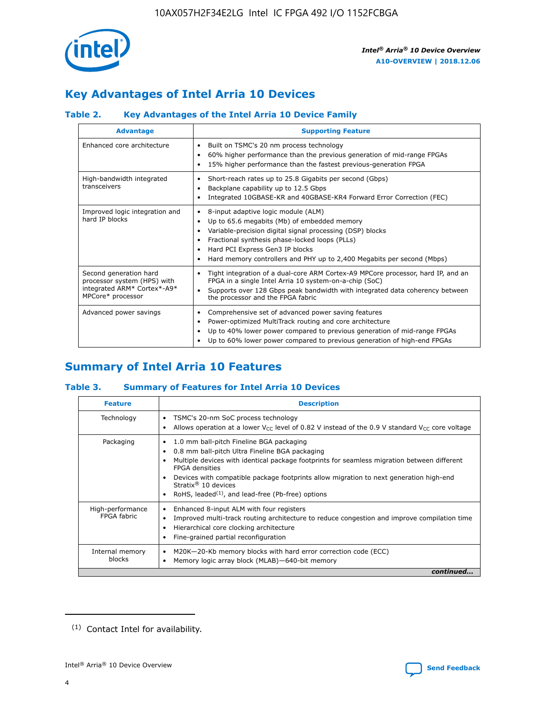

# **Key Advantages of Intel Arria 10 Devices**

## **Table 2. Key Advantages of the Intel Arria 10 Device Family**

| <b>Advantage</b>                                                                                          | <b>Supporting Feature</b>                                                                                                                                                                                                                                                                                                |
|-----------------------------------------------------------------------------------------------------------|--------------------------------------------------------------------------------------------------------------------------------------------------------------------------------------------------------------------------------------------------------------------------------------------------------------------------|
| Enhanced core architecture                                                                                | Built on TSMC's 20 nm process technology<br>٠<br>60% higher performance than the previous generation of mid-range FPGAs<br>٠<br>15% higher performance than the fastest previous-generation FPGA<br>٠                                                                                                                    |
| High-bandwidth integrated<br>transceivers                                                                 | Short-reach rates up to 25.8 Gigabits per second (Gbps)<br>٠<br>Backplane capability up to 12.5 Gbps<br>٠<br>Integrated 10GBASE-KR and 40GBASE-KR4 Forward Error Correction (FEC)<br>٠                                                                                                                                   |
| Improved logic integration and<br>hard IP blocks                                                          | 8-input adaptive logic module (ALM)<br>٠<br>Up to 65.6 megabits (Mb) of embedded memory<br>٠<br>Variable-precision digital signal processing (DSP) blocks<br>Fractional synthesis phase-locked loops (PLLs)<br>Hard PCI Express Gen3 IP blocks<br>Hard memory controllers and PHY up to 2,400 Megabits per second (Mbps) |
| Second generation hard<br>processor system (HPS) with<br>integrated ARM* Cortex*-A9*<br>MPCore* processor | Tight integration of a dual-core ARM Cortex-A9 MPCore processor, hard IP, and an<br>٠<br>FPGA in a single Intel Arria 10 system-on-a-chip (SoC)<br>Supports over 128 Gbps peak bandwidth with integrated data coherency between<br>$\bullet$<br>the processor and the FPGA fabric                                        |
| Advanced power savings                                                                                    | Comprehensive set of advanced power saving features<br>٠<br>Power-optimized MultiTrack routing and core architecture<br>٠<br>Up to 40% lower power compared to previous generation of mid-range FPGAs<br>٠<br>Up to 60% lower power compared to previous generation of high-end FPGAs                                    |

# **Summary of Intel Arria 10 Features**

## **Table 3. Summary of Features for Intel Arria 10 Devices**

| <b>Feature</b>                  | <b>Description</b>                                                                                                                                                                                                                                                                                                                                                                                       |
|---------------------------------|----------------------------------------------------------------------------------------------------------------------------------------------------------------------------------------------------------------------------------------------------------------------------------------------------------------------------------------------------------------------------------------------------------|
| Technology                      | TSMC's 20-nm SoC process technology<br>٠<br>Allows operation at a lower $V_{\text{CC}}$ level of 0.82 V instead of the 0.9 V standard $V_{\text{CC}}$ core voltage                                                                                                                                                                                                                                       |
| Packaging                       | 1.0 mm ball-pitch Fineline BGA packaging<br>0.8 mm ball-pitch Ultra Fineline BGA packaging<br>Multiple devices with identical package footprints for seamless migration between different<br><b>FPGA</b> densities<br>Devices with compatible package footprints allow migration to next generation high-end<br>Stratix $\mathcal{R}$ 10 devices<br>RoHS, leaded $(1)$ , and lead-free (Pb-free) options |
| High-performance<br>FPGA fabric | Enhanced 8-input ALM with four registers<br>٠<br>Improved multi-track routing architecture to reduce congestion and improve compilation time<br>Hierarchical core clocking architecture<br>Fine-grained partial reconfiguration                                                                                                                                                                          |
| Internal memory<br>blocks       | M20K-20-Kb memory blocks with hard error correction code (ECC)<br>Memory logic array block (MLAB)-640-bit memory                                                                                                                                                                                                                                                                                         |
|                                 | continued                                                                                                                                                                                                                                                                                                                                                                                                |



<sup>(1)</sup> Contact Intel for availability.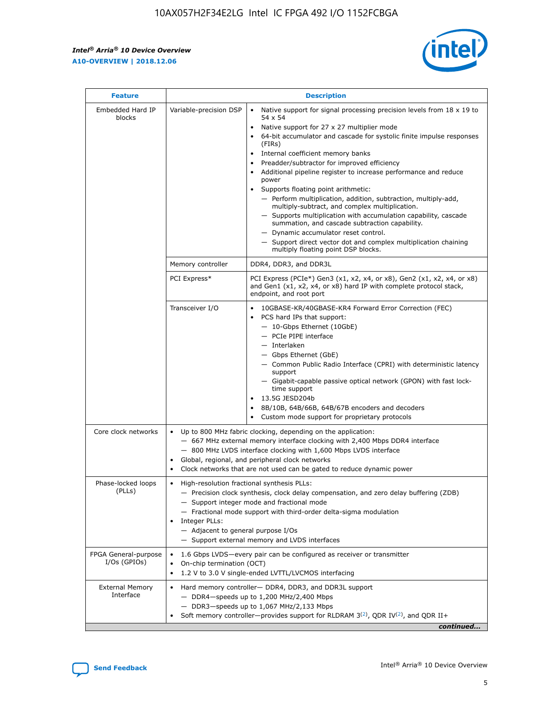r



| <b>Feature</b>                         | <b>Description</b>                                                                                             |                                                                                                                                                                                                                                                                                                                                                                                                                                                                                                                                                                                                                                                                                                                                                                                                                                        |  |  |  |  |  |
|----------------------------------------|----------------------------------------------------------------------------------------------------------------|----------------------------------------------------------------------------------------------------------------------------------------------------------------------------------------------------------------------------------------------------------------------------------------------------------------------------------------------------------------------------------------------------------------------------------------------------------------------------------------------------------------------------------------------------------------------------------------------------------------------------------------------------------------------------------------------------------------------------------------------------------------------------------------------------------------------------------------|--|--|--|--|--|
| Embedded Hard IP<br>blocks             | Variable-precision DSP                                                                                         | Native support for signal processing precision levels from $18 \times 19$ to<br>54 x 54<br>Native support for 27 x 27 multiplier mode<br>64-bit accumulator and cascade for systolic finite impulse responses<br>(FIRs)<br>Internal coefficient memory banks<br>$\bullet$<br>Preadder/subtractor for improved efficiency<br>Additional pipeline register to increase performance and reduce<br>power<br>Supports floating point arithmetic:<br>- Perform multiplication, addition, subtraction, multiply-add,<br>multiply-subtract, and complex multiplication.<br>- Supports multiplication with accumulation capability, cascade<br>summation, and cascade subtraction capability.<br>- Dynamic accumulator reset control.<br>- Support direct vector dot and complex multiplication chaining<br>multiply floating point DSP blocks. |  |  |  |  |  |
|                                        | Memory controller                                                                                              | DDR4, DDR3, and DDR3L                                                                                                                                                                                                                                                                                                                                                                                                                                                                                                                                                                                                                                                                                                                                                                                                                  |  |  |  |  |  |
|                                        | PCI Express*                                                                                                   | PCI Express (PCIe*) Gen3 (x1, x2, x4, or x8), Gen2 (x1, x2, x4, or x8)<br>and Gen1 (x1, x2, x4, or x8) hard IP with complete protocol stack,<br>endpoint, and root port                                                                                                                                                                                                                                                                                                                                                                                                                                                                                                                                                                                                                                                                |  |  |  |  |  |
|                                        | Transceiver I/O                                                                                                | 10GBASE-KR/40GBASE-KR4 Forward Error Correction (FEC)<br>PCS hard IPs that support:<br>$\bullet$<br>- 10-Gbps Ethernet (10GbE)<br>- PCIe PIPE interface<br>$-$ Interlaken<br>- Gbps Ethernet (GbE)<br>- Common Public Radio Interface (CPRI) with deterministic latency<br>support<br>- Gigabit-capable passive optical network (GPON) with fast lock-<br>time support<br>13.5G JESD204b<br>$\bullet$<br>8B/10B, 64B/66B, 64B/67B encoders and decoders<br>Custom mode support for proprietary protocols                                                                                                                                                                                                                                                                                                                               |  |  |  |  |  |
| Core clock networks                    | $\bullet$<br>$\bullet$                                                                                         | Up to 800 MHz fabric clocking, depending on the application:<br>- 667 MHz external memory interface clocking with 2,400 Mbps DDR4 interface<br>- 800 MHz LVDS interface clocking with 1,600 Mbps LVDS interface<br>Global, regional, and peripheral clock networks<br>Clock networks that are not used can be gated to reduce dynamic power                                                                                                                                                                                                                                                                                                                                                                                                                                                                                            |  |  |  |  |  |
| Phase-locked loops<br>(PLLs)           | High-resolution fractional synthesis PLLs:<br>$\bullet$<br>Integer PLLs:<br>- Adjacent to general purpose I/Os | - Precision clock synthesis, clock delay compensation, and zero delay buffering (ZDB)<br>- Support integer mode and fractional mode<br>- Fractional mode support with third-order delta-sigma modulation<br>- Support external memory and LVDS interfaces                                                                                                                                                                                                                                                                                                                                                                                                                                                                                                                                                                              |  |  |  |  |  |
| FPGA General-purpose<br>$I/Os$ (GPIOs) | On-chip termination (OCT)                                                                                      | 1.6 Gbps LVDS-every pair can be configured as receiver or transmitter<br>1.2 V to 3.0 V single-ended LVTTL/LVCMOS interfacing                                                                                                                                                                                                                                                                                                                                                                                                                                                                                                                                                                                                                                                                                                          |  |  |  |  |  |
| <b>External Memory</b><br>Interface    |                                                                                                                | Hard memory controller- DDR4, DDR3, and DDR3L support<br>$-$ DDR4-speeds up to 1,200 MHz/2,400 Mbps<br>- DDR3-speeds up to 1,067 MHz/2,133 Mbps<br>Soft memory controller—provides support for RLDRAM $3^{(2)}$ , QDR IV $^{(2)}$ , and QDR II+<br>continued                                                                                                                                                                                                                                                                                                                                                                                                                                                                                                                                                                           |  |  |  |  |  |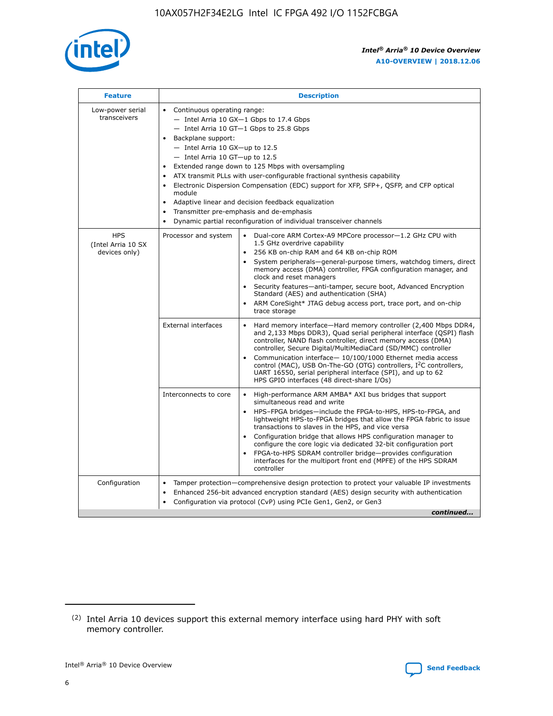

| <b>Feature</b>                                    | <b>Description</b>                                                                                                                                                                                                                                                                                                                                                                                                                                                                                                                                                                                                                             |  |  |  |  |  |  |  |  |
|---------------------------------------------------|------------------------------------------------------------------------------------------------------------------------------------------------------------------------------------------------------------------------------------------------------------------------------------------------------------------------------------------------------------------------------------------------------------------------------------------------------------------------------------------------------------------------------------------------------------------------------------------------------------------------------------------------|--|--|--|--|--|--|--|--|
| Low-power serial<br>transceivers                  | • Continuous operating range:<br>- Intel Arria 10 GX-1 Gbps to 17.4 Gbps<br>- Intel Arria 10 GT-1 Gbps to 25.8 Gbps<br>Backplane support:<br>$-$ Intel Arria 10 GX-up to 12.5<br>$-$ Intel Arria 10 GT-up to 12.5<br>Extended range down to 125 Mbps with oversampling<br>ATX transmit PLLs with user-configurable fractional synthesis capability<br>• Electronic Dispersion Compensation (EDC) support for XFP, SFP+, QSFP, and CFP optical<br>module<br>• Adaptive linear and decision feedback equalization<br>Transmitter pre-emphasis and de-emphasis<br>$\bullet$<br>Dynamic partial reconfiguration of individual transceiver channels |  |  |  |  |  |  |  |  |
| <b>HPS</b><br>(Intel Arria 10 SX<br>devices only) | Processor and system<br>Dual-core ARM Cortex-A9 MPCore processor-1.2 GHz CPU with<br>$\bullet$<br>1.5 GHz overdrive capability<br>256 KB on-chip RAM and 64 KB on-chip ROM<br>$\bullet$<br>System peripherals-general-purpose timers, watchdog timers, direct<br>memory access (DMA) controller, FPGA configuration manager, and<br>clock and reset managers<br>• Security features—anti-tamper, secure boot, Advanced Encryption<br>Standard (AES) and authentication (SHA)<br>ARM CoreSight* JTAG debug access port, trace port, and on-chip<br>trace storage                                                                                |  |  |  |  |  |  |  |  |
|                                                   | <b>External interfaces</b><br>Hard memory interface—Hard memory controller (2,400 Mbps DDR4,<br>$\bullet$<br>and 2,133 Mbps DDR3), Quad serial peripheral interface (QSPI) flash<br>controller, NAND flash controller, direct memory access (DMA)<br>controller, Secure Digital/MultiMediaCard (SD/MMC) controller<br>Communication interface-10/100/1000 Ethernet media access<br>control (MAC), USB On-The-GO (OTG) controllers, I <sup>2</sup> C controllers,<br>UART 16550, serial peripheral interface (SPI), and up to 62<br>HPS GPIO interfaces (48 direct-share I/Os)                                                                  |  |  |  |  |  |  |  |  |
|                                                   | High-performance ARM AMBA* AXI bus bridges that support<br>Interconnects to core<br>$\bullet$<br>simultaneous read and write<br>HPS-FPGA bridges—include the FPGA-to-HPS, HPS-to-FPGA, and<br>$\bullet$<br>lightweight HPS-to-FPGA bridges that allow the FPGA fabric to issue<br>transactions to slaves in the HPS, and vice versa<br>Configuration bridge that allows HPS configuration manager to<br>configure the core logic via dedicated 32-bit configuration port<br>FPGA-to-HPS SDRAM controller bridge-provides configuration<br>interfaces for the multiport front end (MPFE) of the HPS SDRAM<br>controller                         |  |  |  |  |  |  |  |  |
| Configuration                                     | Tamper protection—comprehensive design protection to protect your valuable IP investments<br>Enhanced 256-bit advanced encryption standard (AES) design security with authentication<br>$\bullet$<br>Configuration via protocol (CvP) using PCIe Gen1, Gen2, or Gen3<br>continued                                                                                                                                                                                                                                                                                                                                                              |  |  |  |  |  |  |  |  |

<sup>(2)</sup> Intel Arria 10 devices support this external memory interface using hard PHY with soft memory controller.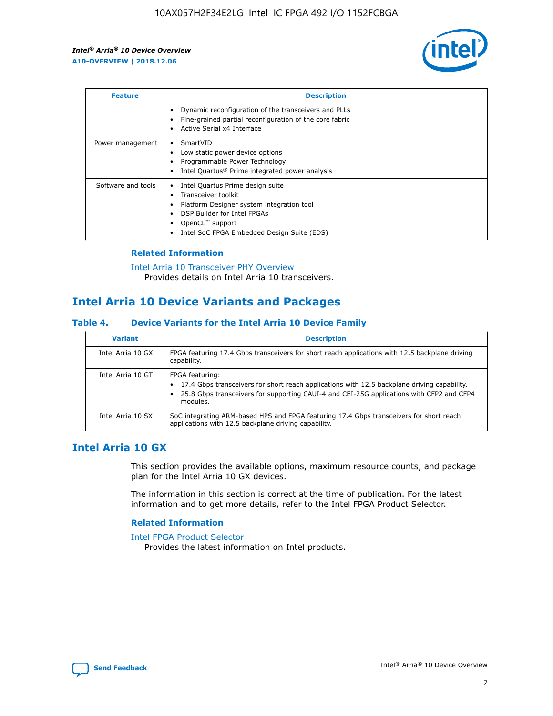

| <b>Feature</b>     | <b>Description</b>                                                                                                                                                                                               |
|--------------------|------------------------------------------------------------------------------------------------------------------------------------------------------------------------------------------------------------------|
|                    | Dynamic reconfiguration of the transceivers and PLLs<br>Fine-grained partial reconfiguration of the core fabric<br>Active Serial x4 Interface<br>$\bullet$                                                       |
| Power management   | SmartVID<br>Low static power device options<br>Programmable Power Technology<br>Intel Quartus <sup>®</sup> Prime integrated power analysis                                                                       |
| Software and tools | Intel Quartus Prime design suite<br>Transceiver toolkit<br>Platform Designer system integration tool<br>DSP Builder for Intel FPGAs<br>OpenCL <sup>™</sup> support<br>Intel SoC FPGA Embedded Design Suite (EDS) |

## **Related Information**

[Intel Arria 10 Transceiver PHY Overview](https://www.intel.com/content/www/us/en/programmable/documentation/nik1398707230472.html#nik1398706768037) Provides details on Intel Arria 10 transceivers.

# **Intel Arria 10 Device Variants and Packages**

#### **Table 4. Device Variants for the Intel Arria 10 Device Family**

| <b>Variant</b>    | <b>Description</b>                                                                                                                                                                                                     |
|-------------------|------------------------------------------------------------------------------------------------------------------------------------------------------------------------------------------------------------------------|
| Intel Arria 10 GX | FPGA featuring 17.4 Gbps transceivers for short reach applications with 12.5 backplane driving<br>capability.                                                                                                          |
| Intel Arria 10 GT | FPGA featuring:<br>17.4 Gbps transceivers for short reach applications with 12.5 backplane driving capability.<br>25.8 Gbps transceivers for supporting CAUI-4 and CEI-25G applications with CFP2 and CFP4<br>modules. |
| Intel Arria 10 SX | SoC integrating ARM-based HPS and FPGA featuring 17.4 Gbps transceivers for short reach<br>applications with 12.5 backplane driving capability.                                                                        |

# **Intel Arria 10 GX**

This section provides the available options, maximum resource counts, and package plan for the Intel Arria 10 GX devices.

The information in this section is correct at the time of publication. For the latest information and to get more details, refer to the Intel FPGA Product Selector.

#### **Related Information**

#### [Intel FPGA Product Selector](http://www.altera.com/products/selector/psg-selector.html) Provides the latest information on Intel products.

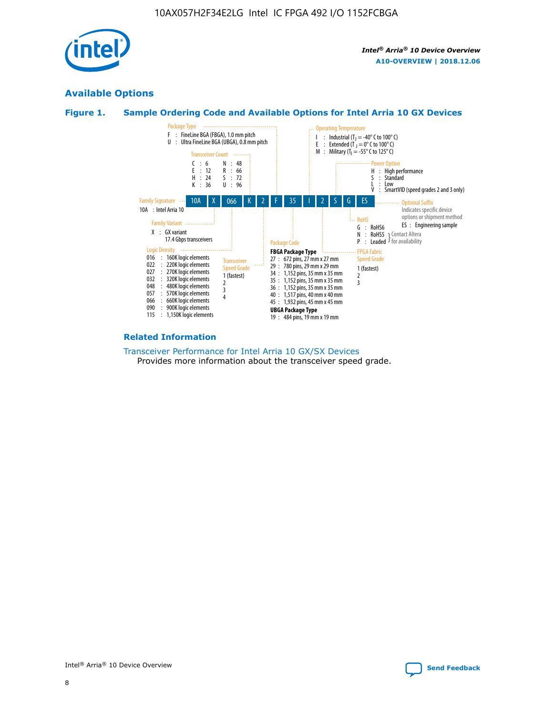

# **Available Options**





#### **Related Information**

[Transceiver Performance for Intel Arria 10 GX/SX Devices](https://www.intel.com/content/www/us/en/programmable/documentation/mcn1413182292568.html#mcn1413213965502) Provides more information about the transceiver speed grade.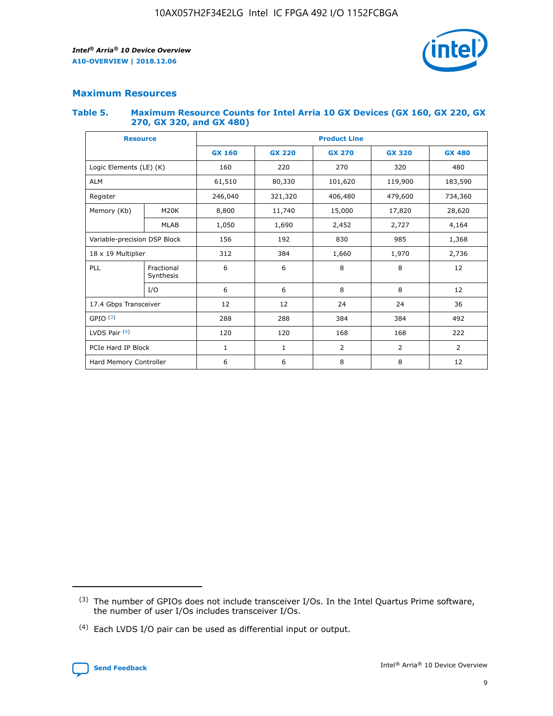

## **Maximum Resources**

#### **Table 5. Maximum Resource Counts for Intel Arria 10 GX Devices (GX 160, GX 220, GX 270, GX 320, and GX 480)**

| <b>Resource</b>              |                         | <b>Product Line</b> |                                |                |                |                |  |  |  |
|------------------------------|-------------------------|---------------------|--------------------------------|----------------|----------------|----------------|--|--|--|
|                              |                         | <b>GX 160</b>       | <b>GX 220</b><br><b>GX 270</b> |                | <b>GX 320</b>  | <b>GX 480</b>  |  |  |  |
| Logic Elements (LE) (K)      |                         | 160                 | 320<br>220<br>270              |                |                | 480            |  |  |  |
| <b>ALM</b>                   |                         | 61,510              | 80,330                         | 101,620        | 119,900        | 183,590        |  |  |  |
| Register                     |                         | 246,040             | 321,320<br>406,480             |                | 479,600        | 734,360        |  |  |  |
| Memory (Kb)                  | M <sub>20</sub> K       | 8,800               | 11,740<br>15,000               |                | 17,820         | 28,620         |  |  |  |
|                              | <b>MLAB</b>             | 1,050               | 1,690                          | 2,452<br>2,727 |                | 4,164          |  |  |  |
| Variable-precision DSP Block |                         | 156                 | 192                            | 830            | 985            | 1,368          |  |  |  |
| 18 x 19 Multiplier           |                         | 312                 | 384                            | 1,970<br>1,660 |                | 2,736          |  |  |  |
| PLL                          | Fractional<br>Synthesis | 6                   | 6                              | 8              | 8              | 12             |  |  |  |
|                              | I/O                     | 6                   | 6                              | 8              | 8              | 12             |  |  |  |
| 17.4 Gbps Transceiver        |                         | 12                  | 12                             | 24             | 24             | 36             |  |  |  |
| GPIO <sup>(3)</sup>          |                         | 288                 | 288                            | 384            | 384            |                |  |  |  |
| LVDS Pair $(4)$              |                         | 120                 | 120                            | 168            | 168            | 222            |  |  |  |
| PCIe Hard IP Block           |                         | $\mathbf{1}$        | 1                              | $\overline{2}$ | $\overline{2}$ | $\overline{2}$ |  |  |  |
| Hard Memory Controller       |                         | 6                   | 6                              | 8              | 8              |                |  |  |  |

<sup>(4)</sup> Each LVDS I/O pair can be used as differential input or output.



<sup>(3)</sup> The number of GPIOs does not include transceiver I/Os. In the Intel Quartus Prime software, the number of user I/Os includes transceiver I/Os.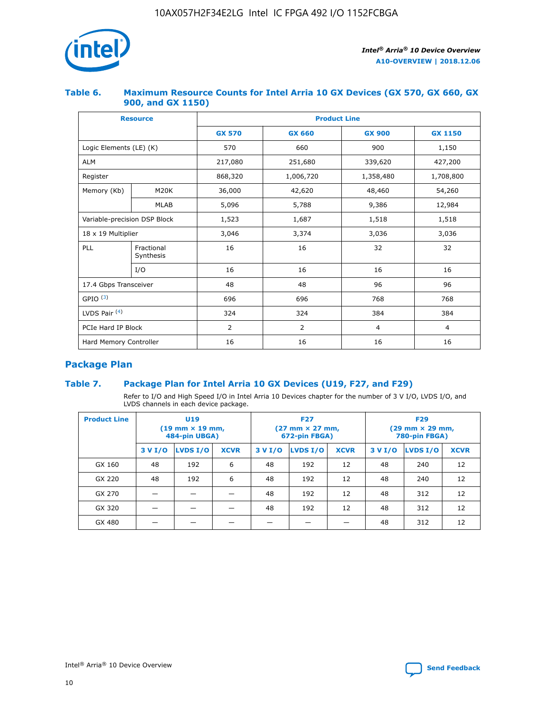

## **Table 6. Maximum Resource Counts for Intel Arria 10 GX Devices (GX 570, GX 660, GX 900, and GX 1150)**

|                              | <b>Resource</b>         | <b>Product Line</b> |                |                |                |  |  |  |
|------------------------------|-------------------------|---------------------|----------------|----------------|----------------|--|--|--|
|                              |                         | <b>GX 570</b>       | <b>GX 660</b>  | <b>GX 900</b>  | <b>GX 1150</b> |  |  |  |
| Logic Elements (LE) (K)      |                         | 570                 | 660            | 900            | 1,150          |  |  |  |
| <b>ALM</b>                   |                         | 217,080             | 251,680        | 339,620        | 427,200        |  |  |  |
| Register                     |                         | 868,320             | 1,006,720      |                | 1,708,800      |  |  |  |
| Memory (Kb)                  | <b>M20K</b>             | 36,000              | 42,620         | 48,460         | 54,260         |  |  |  |
|                              | <b>MLAB</b>             | 5,096               | 5,788          | 9,386          | 12,984         |  |  |  |
| Variable-precision DSP Block |                         | 1,523               | 1,687          | 1,518          | 1,518          |  |  |  |
| $18 \times 19$ Multiplier    |                         | 3,046               | 3,374          | 3,036          | 3,036          |  |  |  |
| PLL                          | Fractional<br>Synthesis | 16                  | 16             | 32             | 32             |  |  |  |
|                              | I/O                     | 16                  | 16             | 16             | 16             |  |  |  |
| 17.4 Gbps Transceiver        |                         | 48                  | 48<br>96       |                | 96             |  |  |  |
| GPIO <sup>(3)</sup>          |                         | 696                 | 696            | 768            | 768            |  |  |  |
| LVDS Pair $(4)$              |                         | 324                 | 324            | 384            | 384            |  |  |  |
| PCIe Hard IP Block           |                         | 2                   | $\overline{2}$ | $\overline{4}$ | 4              |  |  |  |
| Hard Memory Controller       |                         | 16                  | 16             | 16             | 16             |  |  |  |

# **Package Plan**

## **Table 7. Package Plan for Intel Arria 10 GX Devices (U19, F27, and F29)**

Refer to I/O and High Speed I/O in Intel Arria 10 Devices chapter for the number of 3 V I/O, LVDS I/O, and LVDS channels in each device package.

| <b>Product Line</b> | <b>U19</b><br>$(19 \text{ mm} \times 19 \text{ mm})$<br>484-pin UBGA) |          |             |         | <b>F27</b><br>(27 mm × 27 mm,<br>672-pin FBGA) |             | <b>F29</b><br>(29 mm × 29 mm,<br>780-pin FBGA) |          |             |  |
|---------------------|-----------------------------------------------------------------------|----------|-------------|---------|------------------------------------------------|-------------|------------------------------------------------|----------|-------------|--|
|                     | 3 V I/O                                                               | LVDS I/O | <b>XCVR</b> | 3 V I/O | <b>LVDS I/O</b>                                | <b>XCVR</b> | 3 V I/O                                        | LVDS I/O | <b>XCVR</b> |  |
| GX 160              | 48                                                                    | 192      | 6           | 48      | 192                                            | 12          | 48                                             | 240      | 12          |  |
| GX 220              | 48                                                                    | 192      | 6           | 48      | 192                                            | 12          | 48                                             | 240      | 12          |  |
| GX 270              |                                                                       |          |             | 48      | 192                                            | 12          | 48                                             | 312      | 12          |  |
| GX 320              |                                                                       |          |             | 48      | 192                                            | 12          | 48                                             | 312      | 12          |  |
| GX 480              |                                                                       |          |             |         |                                                |             | 48                                             | 312      | 12          |  |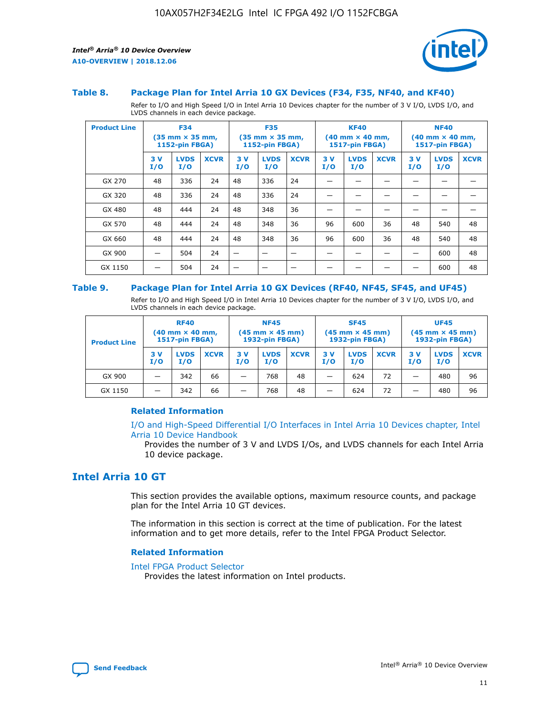

#### **Table 8. Package Plan for Intel Arria 10 GX Devices (F34, F35, NF40, and KF40)**

Refer to I/O and High Speed I/O in Intel Arria 10 Devices chapter for the number of 3 V I/O, LVDS I/O, and LVDS channels in each device package.

| <b>Product Line</b> | <b>F34</b><br>$(35 \text{ mm} \times 35 \text{ mm})$<br>1152-pin FBGA) |                    | <b>F35</b><br>$(35 \text{ mm} \times 35 \text{ mm})$<br><b>1152-pin FBGA)</b> |           | <b>KF40</b><br>$(40$ mm $\times$ 40 mm,<br>1517-pin FBGA) |             |           | <b>NF40</b><br>$(40$ mm $\times$ 40 mm,<br><b>1517-pin FBGA)</b> |             |            |                    |             |
|---------------------|------------------------------------------------------------------------|--------------------|-------------------------------------------------------------------------------|-----------|-----------------------------------------------------------|-------------|-----------|------------------------------------------------------------------|-------------|------------|--------------------|-------------|
|                     | 3V<br>I/O                                                              | <b>LVDS</b><br>I/O | <b>XCVR</b>                                                                   | 3V<br>I/O | <b>LVDS</b><br>I/O                                        | <b>XCVR</b> | 3V<br>I/O | <b>LVDS</b><br>I/O                                               | <b>XCVR</b> | 3 V<br>I/O | <b>LVDS</b><br>I/O | <b>XCVR</b> |
| GX 270              | 48                                                                     | 336                | 24                                                                            | 48        | 336                                                       | 24          |           |                                                                  |             |            |                    |             |
| GX 320              | 48                                                                     | 336                | 24                                                                            | 48        | 336                                                       | 24          |           |                                                                  |             |            |                    |             |
| GX 480              | 48                                                                     | 444                | 24                                                                            | 48        | 348                                                       | 36          |           |                                                                  |             |            |                    |             |
| GX 570              | 48                                                                     | 444                | 24                                                                            | 48        | 348                                                       | 36          | 96        | 600                                                              | 36          | 48         | 540                | 48          |
| GX 660              | 48                                                                     | 444                | 24                                                                            | 48        | 348                                                       | 36          | 96        | 600                                                              | 36          | 48         | 540                | 48          |
| GX 900              |                                                                        | 504                | 24                                                                            | -         |                                                           |             |           |                                                                  |             |            | 600                | 48          |
| GX 1150             |                                                                        | 504                | 24                                                                            |           |                                                           |             |           |                                                                  |             |            | 600                | 48          |

#### **Table 9. Package Plan for Intel Arria 10 GX Devices (RF40, NF45, SF45, and UF45)**

Refer to I/O and High Speed I/O in Intel Arria 10 Devices chapter for the number of 3 V I/O, LVDS I/O, and LVDS channels in each device package.

| <b>Product Line</b> | <b>RF40</b><br>$(40$ mm $\times$ 40 mm,<br>1517-pin FBGA) |                    | <b>NF45</b><br>$(45 \text{ mm} \times 45 \text{ mm})$<br><b>1932-pin FBGA)</b> |            |                    | <b>SF45</b><br>$(45 \text{ mm} \times 45 \text{ mm})$<br><b>1932-pin FBGA)</b> |            |                    | <b>UF45</b><br>$(45 \text{ mm} \times 45 \text{ mm})$<br><b>1932-pin FBGA)</b> |           |                    |             |
|---------------------|-----------------------------------------------------------|--------------------|--------------------------------------------------------------------------------|------------|--------------------|--------------------------------------------------------------------------------|------------|--------------------|--------------------------------------------------------------------------------|-----------|--------------------|-------------|
|                     | 3V<br>I/O                                                 | <b>LVDS</b><br>I/O | <b>XCVR</b>                                                                    | 3 V<br>I/O | <b>LVDS</b><br>I/O | <b>XCVR</b>                                                                    | 3 V<br>I/O | <b>LVDS</b><br>I/O | <b>XCVR</b>                                                                    | 3V<br>I/O | <b>LVDS</b><br>I/O | <b>XCVR</b> |
| GX 900              |                                                           | 342                | 66                                                                             | _          | 768                | 48                                                                             |            | 624                | 72                                                                             |           | 480                | 96          |
| GX 1150             |                                                           | 342                | 66                                                                             | _          | 768                | 48                                                                             |            | 624                | 72                                                                             |           | 480                | 96          |

#### **Related Information**

[I/O and High-Speed Differential I/O Interfaces in Intel Arria 10 Devices chapter, Intel](https://www.intel.com/content/www/us/en/programmable/documentation/sam1403482614086.html#sam1403482030321) [Arria 10 Device Handbook](https://www.intel.com/content/www/us/en/programmable/documentation/sam1403482614086.html#sam1403482030321)

Provides the number of 3 V and LVDS I/Os, and LVDS channels for each Intel Arria 10 device package.

# **Intel Arria 10 GT**

This section provides the available options, maximum resource counts, and package plan for the Intel Arria 10 GT devices.

The information in this section is correct at the time of publication. For the latest information and to get more details, refer to the Intel FPGA Product Selector.

#### **Related Information**

#### [Intel FPGA Product Selector](http://www.altera.com/products/selector/psg-selector.html)

Provides the latest information on Intel products.

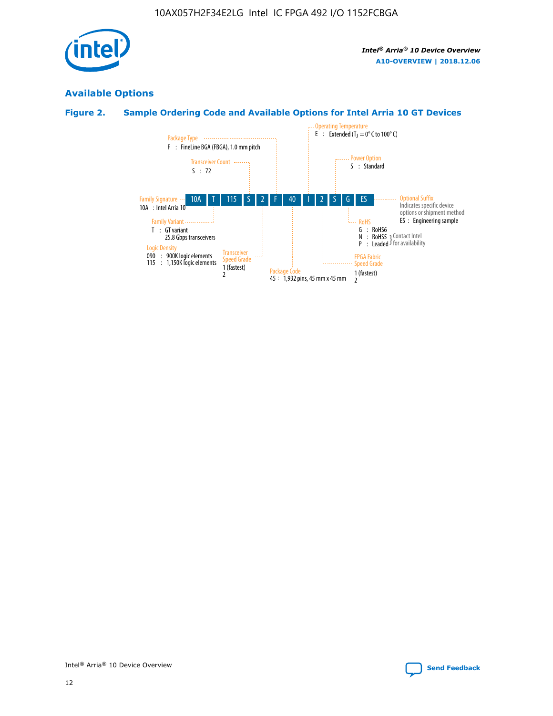

# **Available Options**

# **Figure 2. Sample Ordering Code and Available Options for Intel Arria 10 GT Devices**

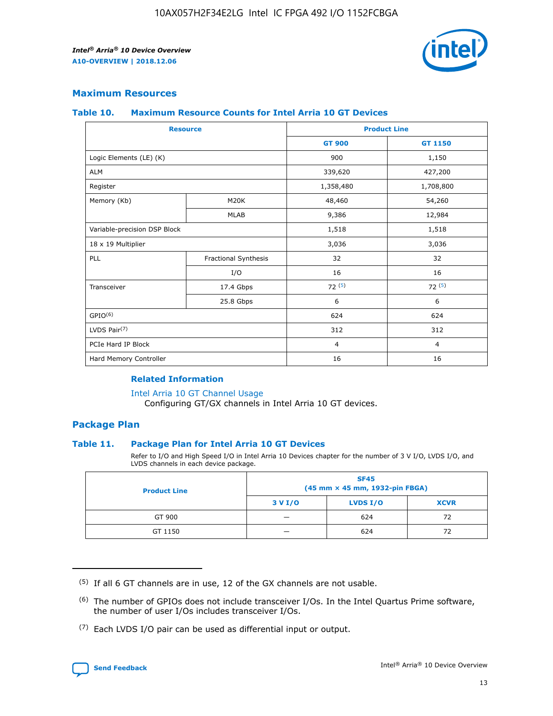

## **Maximum Resources**

#### **Table 10. Maximum Resource Counts for Intel Arria 10 GT Devices**

| <b>Resource</b>              |                      |                | <b>Product Line</b> |  |
|------------------------------|----------------------|----------------|---------------------|--|
|                              |                      | <b>GT 900</b>  | <b>GT 1150</b>      |  |
| Logic Elements (LE) (K)      |                      | 900            | 1,150               |  |
| <b>ALM</b>                   |                      | 339,620        | 427,200             |  |
| Register                     |                      | 1,358,480      | 1,708,800           |  |
| Memory (Kb)                  | M20K                 | 48,460         | 54,260              |  |
|                              | <b>MLAB</b>          | 9,386          | 12,984              |  |
| Variable-precision DSP Block |                      | 1,518          | 1,518               |  |
| 18 x 19 Multiplier           |                      | 3,036          | 3,036               |  |
| PLL                          | Fractional Synthesis | 32             | 32                  |  |
|                              | I/O                  | 16             | 16                  |  |
| Transceiver                  | 17.4 Gbps            | 72(5)          | 72(5)               |  |
|                              | 25.8 Gbps            | 6              | 6                   |  |
| GPIO <sup>(6)</sup>          |                      | 624            | 624                 |  |
| LVDS Pair $(7)$              |                      | 312            | 312                 |  |
| PCIe Hard IP Block           |                      | $\overline{4}$ | $\overline{4}$      |  |
| Hard Memory Controller       |                      | 16             | 16                  |  |

#### **Related Information**

#### [Intel Arria 10 GT Channel Usage](https://www.intel.com/content/www/us/en/programmable/documentation/nik1398707230472.html#nik1398707008178)

Configuring GT/GX channels in Intel Arria 10 GT devices.

## **Package Plan**

#### **Table 11. Package Plan for Intel Arria 10 GT Devices**

Refer to I/O and High Speed I/O in Intel Arria 10 Devices chapter for the number of 3 V I/O, LVDS I/O, and LVDS channels in each device package.

| <b>Product Line</b> | <b>SF45</b><br>(45 mm × 45 mm, 1932-pin FBGA) |                 |             |  |  |  |
|---------------------|-----------------------------------------------|-----------------|-------------|--|--|--|
|                     | 3 V I/O                                       | <b>LVDS I/O</b> | <b>XCVR</b> |  |  |  |
| GT 900              |                                               | 624             | 72          |  |  |  |
| GT 1150             |                                               | 624             |             |  |  |  |

<sup>(7)</sup> Each LVDS I/O pair can be used as differential input or output.



 $(5)$  If all 6 GT channels are in use, 12 of the GX channels are not usable.

<sup>(6)</sup> The number of GPIOs does not include transceiver I/Os. In the Intel Quartus Prime software, the number of user I/Os includes transceiver I/Os.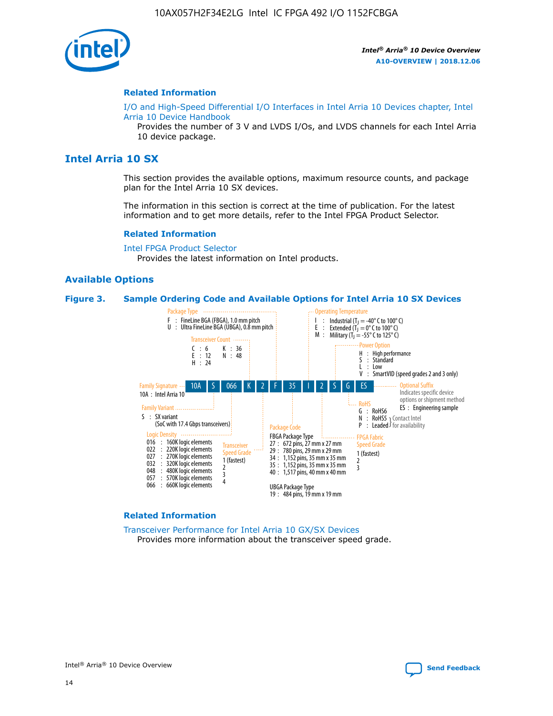

#### **Related Information**

[I/O and High-Speed Differential I/O Interfaces in Intel Arria 10 Devices chapter, Intel](https://www.intel.com/content/www/us/en/programmable/documentation/sam1403482614086.html#sam1403482030321) [Arria 10 Device Handbook](https://www.intel.com/content/www/us/en/programmable/documentation/sam1403482614086.html#sam1403482030321)

Provides the number of 3 V and LVDS I/Os, and LVDS channels for each Intel Arria 10 device package.

# **Intel Arria 10 SX**

This section provides the available options, maximum resource counts, and package plan for the Intel Arria 10 SX devices.

The information in this section is correct at the time of publication. For the latest information and to get more details, refer to the Intel FPGA Product Selector.

#### **Related Information**

[Intel FPGA Product Selector](http://www.altera.com/products/selector/psg-selector.html) Provides the latest information on Intel products.

#### **Available Options**

#### **Figure 3. Sample Ordering Code and Available Options for Intel Arria 10 SX Devices**



#### **Related Information**

[Transceiver Performance for Intel Arria 10 GX/SX Devices](https://www.intel.com/content/www/us/en/programmable/documentation/mcn1413182292568.html#mcn1413213965502) Provides more information about the transceiver speed grade.

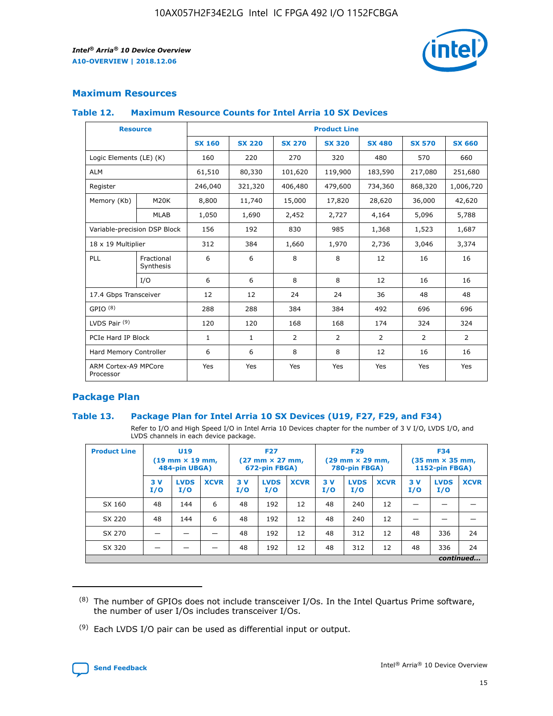

## **Maximum Resources**

#### **Table 12. Maximum Resource Counts for Intel Arria 10 SX Devices**

| <b>Resource</b>                   |                         | <b>Product Line</b> |               |               |                |               |               |               |  |  |  |
|-----------------------------------|-------------------------|---------------------|---------------|---------------|----------------|---------------|---------------|---------------|--|--|--|
|                                   |                         | <b>SX 160</b>       | <b>SX 220</b> | <b>SX 270</b> | <b>SX 320</b>  | <b>SX 480</b> | <b>SX 570</b> | <b>SX 660</b> |  |  |  |
| Logic Elements (LE) (K)           |                         | 160                 | 220           | 270           | 320            | 480           | 570           | 660           |  |  |  |
| <b>ALM</b>                        |                         | 61,510              | 80,330        | 101,620       | 119,900        | 183,590       | 217,080       | 251,680       |  |  |  |
| Register                          |                         | 246,040             | 321,320       | 406,480       | 479,600        | 734,360       | 868,320       | 1,006,720     |  |  |  |
| Memory (Kb)                       | M20K                    | 8,800               | 11,740        | 15,000        | 17,820         | 28,620        | 36,000        | 42,620        |  |  |  |
|                                   | <b>MLAB</b>             | 1,050               | 1,690         | 2,452         | 2,727          | 4,164         | 5,096         | 5,788         |  |  |  |
| Variable-precision DSP Block      |                         | 156                 | 192           | 830           | 985            | 1,368         | 1,523         | 1,687         |  |  |  |
| 18 x 19 Multiplier                |                         | 312                 | 384           | 1,660         | 1,970          | 2,736         | 3,046         | 3,374         |  |  |  |
| PLL                               | Fractional<br>Synthesis | 6                   | 6             | 8             | 8              | 12            | 16            | 16            |  |  |  |
|                                   | I/O                     | 6                   | 6             | 8             | 8              | 12            | 16            | 16            |  |  |  |
| 17.4 Gbps Transceiver             |                         | 12                  | 12            | 24            | 24             | 36            | 48            | 48            |  |  |  |
| GPIO <sup>(8)</sup>               |                         | 288                 | 288           | 384           | 384            | 492           | 696           | 696           |  |  |  |
| LVDS Pair $(9)$                   |                         | 120                 | 120           | 168           | 168            | 174           | 324           | 324           |  |  |  |
| PCIe Hard IP Block                |                         | $\mathbf{1}$        | $\mathbf{1}$  | 2             | $\overline{2}$ | 2             | 2             | 2             |  |  |  |
| Hard Memory Controller            |                         | 6                   | 6             | 8             | 8              | 12            | 16            | 16            |  |  |  |
| ARM Cortex-A9 MPCore<br>Processor |                         | Yes                 | Yes           | Yes           | Yes            | Yes           | Yes           | Yes           |  |  |  |

## **Package Plan**

#### **Table 13. Package Plan for Intel Arria 10 SX Devices (U19, F27, F29, and F34)**

Refer to I/O and High Speed I/O in Intel Arria 10 Devices chapter for the number of 3 V I/O, LVDS I/O, and LVDS channels in each device package.

| <b>Product Line</b> | U19<br>$(19 \text{ mm} \times 19 \text{ mm})$ .<br>484-pin UBGA) |                    |             | <b>F27</b><br>$(27 \text{ mm} \times 27 \text{ mm})$<br>672-pin FBGA) |                    | <b>F29</b><br>$(29 \text{ mm} \times 29 \text{ mm})$<br>780-pin FBGA) |           |                    | <b>F34</b><br>$(35 \text{ mm} \times 35 \text{ mm})$<br><b>1152-pin FBGA)</b> |           |                    |             |
|---------------------|------------------------------------------------------------------|--------------------|-------------|-----------------------------------------------------------------------|--------------------|-----------------------------------------------------------------------|-----------|--------------------|-------------------------------------------------------------------------------|-----------|--------------------|-------------|
|                     | 3V<br>I/O                                                        | <b>LVDS</b><br>I/O | <b>XCVR</b> | 3V<br>I/O                                                             | <b>LVDS</b><br>I/O | <b>XCVR</b>                                                           | 3V<br>I/O | <b>LVDS</b><br>I/O | <b>XCVR</b>                                                                   | 3V<br>I/O | <b>LVDS</b><br>I/O | <b>XCVR</b> |
| SX 160              | 48                                                               | 144                | 6           | 48                                                                    | 192                | 12                                                                    | 48        | 240                | 12                                                                            |           |                    |             |
| SX 220              | 48                                                               | 144                | 6           | 48                                                                    | 192                | 12                                                                    | 48        | 240                | 12                                                                            |           |                    |             |
| SX 270              |                                                                  |                    |             | 48                                                                    | 192                | 12                                                                    | 48        | 312                | 12                                                                            | 48        | 336                | 24          |
| SX 320              |                                                                  |                    |             | 48                                                                    | 192                | 12                                                                    | 48        | 312                | 12                                                                            | 48        | 336                | 24          |
|                     | continued                                                        |                    |             |                                                                       |                    |                                                                       |           |                    |                                                                               |           |                    |             |

 $(8)$  The number of GPIOs does not include transceiver I/Os. In the Intel Quartus Prime software, the number of user I/Os includes transceiver I/Os.

 $(9)$  Each LVDS I/O pair can be used as differential input or output.

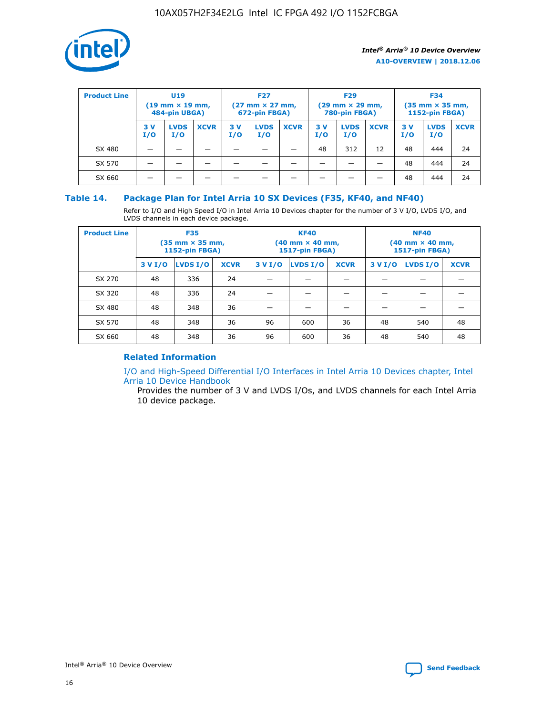

| <b>Product Line</b> | U <sub>19</sub><br>$(19 \text{ mm} \times 19 \text{ mm})$<br>484-pin UBGA) |                    |             | <b>F27</b><br>$(27 \text{ mm} \times 27 \text{ mm})$<br>672-pin FBGA) |                    |             | <b>F29</b><br>$(29 \text{ mm} \times 29 \text{ mm})$<br>780-pin FBGA) |                    |             | <b>F34</b><br>$(35$ mm $\times$ 35 mm,<br><b>1152-pin FBGA)</b> |                    |             |
|---------------------|----------------------------------------------------------------------------|--------------------|-------------|-----------------------------------------------------------------------|--------------------|-------------|-----------------------------------------------------------------------|--------------------|-------------|-----------------------------------------------------------------|--------------------|-------------|
|                     | 3 V<br>I/O                                                                 | <b>LVDS</b><br>I/O | <b>XCVR</b> | 3V<br>I/O                                                             | <b>LVDS</b><br>I/O | <b>XCVR</b> | 3V<br>I/O                                                             | <b>LVDS</b><br>I/O | <b>XCVR</b> | 3V<br>I/O                                                       | <b>LVDS</b><br>I/O | <b>XCVR</b> |
| SX 480              |                                                                            |                    |             |                                                                       |                    |             | 48                                                                    | 312                | 12          | 48                                                              | 444                | 24          |
| SX 570              |                                                                            |                    |             |                                                                       |                    |             |                                                                       |                    |             | 48                                                              | 444                | 24          |
| SX 660              |                                                                            |                    |             |                                                                       |                    |             |                                                                       |                    |             | 48                                                              | 444                | 24          |

## **Table 14. Package Plan for Intel Arria 10 SX Devices (F35, KF40, and NF40)**

Refer to I/O and High Speed I/O in Intel Arria 10 Devices chapter for the number of 3 V I/O, LVDS I/O, and LVDS channels in each device package.

| <b>Product Line</b> | <b>F35</b><br>(35 mm × 35 mm,<br><b>1152-pin FBGA)</b> |          |             |                                           | <b>KF40</b><br>(40 mm × 40 mm,<br>1517-pin FBGA) |    | <b>NF40</b><br>$(40 \text{ mm} \times 40 \text{ mm})$<br>1517-pin FBGA) |          |             |  |
|---------------------|--------------------------------------------------------|----------|-------------|-------------------------------------------|--------------------------------------------------|----|-------------------------------------------------------------------------|----------|-------------|--|
|                     | 3 V I/O                                                | LVDS I/O | <b>XCVR</b> | <b>LVDS I/O</b><br>3 V I/O<br><b>XCVR</b> |                                                  |    | 3 V I/O                                                                 | LVDS I/O | <b>XCVR</b> |  |
| SX 270              | 48                                                     | 336      | 24          |                                           |                                                  |    |                                                                         |          |             |  |
| SX 320              | 48                                                     | 336      | 24          |                                           |                                                  |    |                                                                         |          |             |  |
| SX 480              | 48                                                     | 348      | 36          |                                           |                                                  |    |                                                                         |          |             |  |
| SX 570              | 48                                                     | 348      | 36          | 96                                        | 600                                              | 36 | 48                                                                      | 540      | 48          |  |
| SX 660              | 48                                                     | 348      | 36          | 96                                        | 600                                              | 36 | 48                                                                      | 540      | 48          |  |

# **Related Information**

[I/O and High-Speed Differential I/O Interfaces in Intel Arria 10 Devices chapter, Intel](https://www.intel.com/content/www/us/en/programmable/documentation/sam1403482614086.html#sam1403482030321) [Arria 10 Device Handbook](https://www.intel.com/content/www/us/en/programmable/documentation/sam1403482614086.html#sam1403482030321)

Provides the number of 3 V and LVDS I/Os, and LVDS channels for each Intel Arria 10 device package.

Intel<sup>®</sup> Arria<sup>®</sup> 10 Device Overview **[Send Feedback](mailto:FPGAtechdocfeedback@intel.com?subject=Feedback%20on%20Intel%20Arria%2010%20Device%20Overview%20(A10-OVERVIEW%202018.12.06)&body=We%20appreciate%20your%20feedback.%20In%20your%20comments,%20also%20specify%20the%20page%20number%20or%20paragraph.%20Thank%20you.)** Send Feedback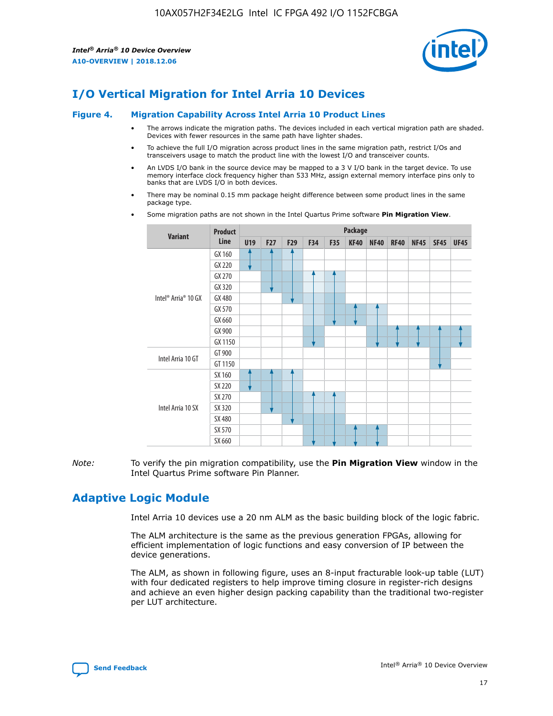

# **I/O Vertical Migration for Intel Arria 10 Devices**

#### **Figure 4. Migration Capability Across Intel Arria 10 Product Lines**

- The arrows indicate the migration paths. The devices included in each vertical migration path are shaded. Devices with fewer resources in the same path have lighter shades.
- To achieve the full I/O migration across product lines in the same migration path, restrict I/Os and transceivers usage to match the product line with the lowest I/O and transceiver counts.
- An LVDS I/O bank in the source device may be mapped to a 3 V I/O bank in the target device. To use memory interface clock frequency higher than 533 MHz, assign external memory interface pins only to banks that are LVDS I/O in both devices.
- There may be nominal 0.15 mm package height difference between some product lines in the same package type.
	- **Variant Product Line Package U19 F27 F29 F34 F35 KF40 NF40 RF40 NF45 SF45 UF45** Intel® Arria® 10 GX GX 160 GX 220 GX 270 GX 320 GX 480 GX 570 GX 660 GX 900 GX 1150 Intel Arria 10 GT GT 900 GT 1150 Intel Arria 10 SX SX 160 SX 220 SX 270 SX 320 SX 480 SX 570 SX 660
- Some migration paths are not shown in the Intel Quartus Prime software **Pin Migration View**.

*Note:* To verify the pin migration compatibility, use the **Pin Migration View** window in the Intel Quartus Prime software Pin Planner.

# **Adaptive Logic Module**

Intel Arria 10 devices use a 20 nm ALM as the basic building block of the logic fabric.

The ALM architecture is the same as the previous generation FPGAs, allowing for efficient implementation of logic functions and easy conversion of IP between the device generations.

The ALM, as shown in following figure, uses an 8-input fracturable look-up table (LUT) with four dedicated registers to help improve timing closure in register-rich designs and achieve an even higher design packing capability than the traditional two-register per LUT architecture.

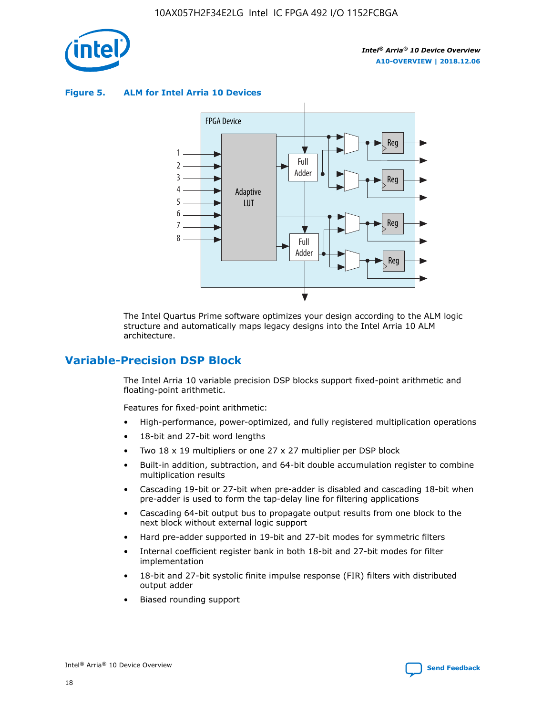

**Figure 5. ALM for Intel Arria 10 Devices**



The Intel Quartus Prime software optimizes your design according to the ALM logic structure and automatically maps legacy designs into the Intel Arria 10 ALM architecture.

# **Variable-Precision DSP Block**

The Intel Arria 10 variable precision DSP blocks support fixed-point arithmetic and floating-point arithmetic.

Features for fixed-point arithmetic:

- High-performance, power-optimized, and fully registered multiplication operations
- 18-bit and 27-bit word lengths
- Two 18 x 19 multipliers or one 27 x 27 multiplier per DSP block
- Built-in addition, subtraction, and 64-bit double accumulation register to combine multiplication results
- Cascading 19-bit or 27-bit when pre-adder is disabled and cascading 18-bit when pre-adder is used to form the tap-delay line for filtering applications
- Cascading 64-bit output bus to propagate output results from one block to the next block without external logic support
- Hard pre-adder supported in 19-bit and 27-bit modes for symmetric filters
- Internal coefficient register bank in both 18-bit and 27-bit modes for filter implementation
- 18-bit and 27-bit systolic finite impulse response (FIR) filters with distributed output adder
- Biased rounding support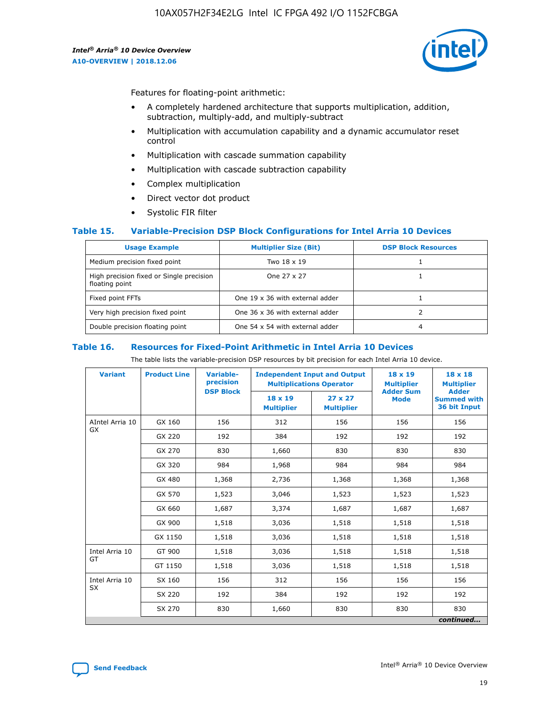

Features for floating-point arithmetic:

- A completely hardened architecture that supports multiplication, addition, subtraction, multiply-add, and multiply-subtract
- Multiplication with accumulation capability and a dynamic accumulator reset control
- Multiplication with cascade summation capability
- Multiplication with cascade subtraction capability
- Complex multiplication
- Direct vector dot product
- Systolic FIR filter

#### **Table 15. Variable-Precision DSP Block Configurations for Intel Arria 10 Devices**

| <b>Usage Example</b>                                       | <b>Multiplier Size (Bit)</b>    | <b>DSP Block Resources</b> |
|------------------------------------------------------------|---------------------------------|----------------------------|
| Medium precision fixed point                               | Two 18 x 19                     |                            |
| High precision fixed or Single precision<br>floating point | One 27 x 27                     |                            |
| Fixed point FFTs                                           | One 19 x 36 with external adder |                            |
| Very high precision fixed point                            | One 36 x 36 with external adder |                            |
| Double precision floating point                            | One 54 x 54 with external adder | 4                          |

#### **Table 16. Resources for Fixed-Point Arithmetic in Intel Arria 10 Devices**

The table lists the variable-precision DSP resources by bit precision for each Intel Arria 10 device.

| <b>Variant</b>  | <b>Product Line</b> | Variable-<br>precision<br><b>DSP Block</b> | <b>Independent Input and Output</b><br><b>Multiplications Operator</b> |                                     | 18 x 19<br><b>Multiplier</b><br><b>Adder Sum</b> | $18 \times 18$<br><b>Multiplier</b><br><b>Adder</b> |
|-----------------|---------------------|--------------------------------------------|------------------------------------------------------------------------|-------------------------------------|--------------------------------------------------|-----------------------------------------------------|
|                 |                     |                                            | 18 x 19<br><b>Multiplier</b>                                           | $27 \times 27$<br><b>Multiplier</b> | <b>Mode</b>                                      | <b>Summed with</b><br>36 bit Input                  |
| AIntel Arria 10 | GX 160              | 156                                        | 312                                                                    | 156                                 | 156                                              | 156                                                 |
| GX              | GX 220              | 192                                        | 384                                                                    | 192                                 | 192                                              | 192                                                 |
|                 | GX 270              | 830                                        | 1,660                                                                  | 830                                 | 830                                              | 830                                                 |
|                 | GX 320              | 984                                        | 1,968                                                                  | 984                                 | 984                                              | 984                                                 |
|                 | GX 480              | 1,368                                      | 2,736                                                                  | 1,368                               | 1,368                                            | 1,368                                               |
|                 | GX 570              | 1,523                                      | 3,046                                                                  | 1,523                               | 1,523                                            | 1,523                                               |
|                 | GX 660              | 1,687                                      | 3,374                                                                  | 1,687                               | 1,687                                            | 1,687                                               |
|                 | GX 900              | 1,518                                      | 3,036                                                                  | 1,518                               | 1,518                                            | 1,518                                               |
|                 | GX 1150             | 1,518                                      | 3,036                                                                  | 1,518                               | 1,518                                            | 1,518                                               |
| Intel Arria 10  | GT 900              | 1,518                                      | 3,036                                                                  | 1,518                               | 1,518                                            | 1,518                                               |
| GT              | GT 1150             | 1,518                                      | 3,036                                                                  | 1,518                               | 1,518                                            | 1,518                                               |
| Intel Arria 10  | SX 160              | 156                                        | 312                                                                    | 156                                 | 156                                              | 156                                                 |
| <b>SX</b>       | SX 220              | 192                                        | 384                                                                    | 192                                 | 192                                              | 192                                                 |
|                 | SX 270              | 830                                        | 1,660                                                                  | 830                                 | 830                                              | 830                                                 |
|                 |                     |                                            |                                                                        |                                     |                                                  | continued                                           |

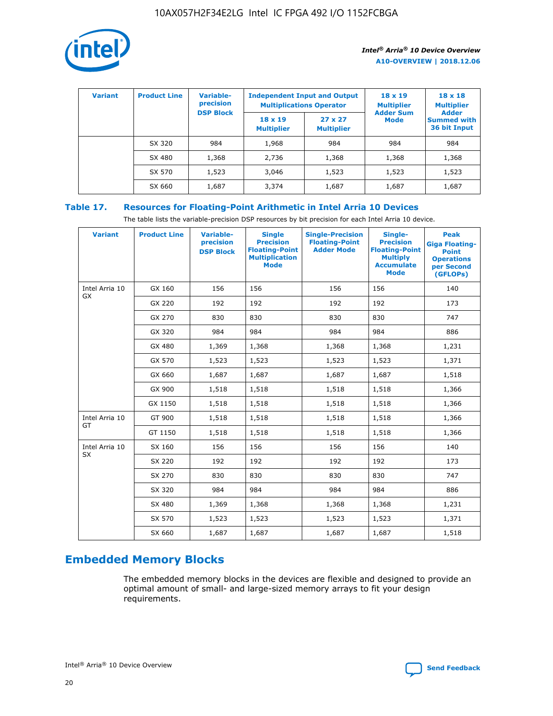

| <b>Variant</b> | <b>Product Line</b> | Variable-<br>precision | <b>Independent Input and Output</b><br><b>Multiplications Operator</b> |                                     | $18 \times 19$<br><b>Multiplier</b> | $18 \times 18$<br><b>Multiplier</b><br><b>Adder</b> |  |
|----------------|---------------------|------------------------|------------------------------------------------------------------------|-------------------------------------|-------------------------------------|-----------------------------------------------------|--|
|                |                     | <b>DSP Block</b>       | $18 \times 19$<br><b>Multiplier</b>                                    | $27 \times 27$<br><b>Multiplier</b> | <b>Adder Sum</b><br><b>Mode</b>     | <b>Summed with</b><br>36 bit Input                  |  |
|                | SX 320              | 984                    | 1,968                                                                  | 984                                 | 984                                 | 984                                                 |  |
|                | SX 480              | 1,368                  | 2,736                                                                  | 1,368                               | 1,368                               | 1,368                                               |  |
|                | SX 570              | 1,523                  | 3,046                                                                  | 1,523                               | 1,523                               | 1,523                                               |  |
|                | SX 660              | 1,687                  | 3,374                                                                  | 1,687                               | 1,687                               | 1,687                                               |  |

# **Table 17. Resources for Floating-Point Arithmetic in Intel Arria 10 Devices**

The table lists the variable-precision DSP resources by bit precision for each Intel Arria 10 device.

| <b>Variant</b> | <b>Product Line</b> | <b>Variable-</b><br>precision<br><b>DSP Block</b> | <b>Single</b><br><b>Precision</b><br><b>Floating-Point</b><br><b>Multiplication</b><br><b>Mode</b> | <b>Single-Precision</b><br><b>Floating-Point</b><br><b>Adder Mode</b> | Single-<br><b>Precision</b><br><b>Floating-Point</b><br><b>Multiply</b><br><b>Accumulate</b><br><b>Mode</b> | <b>Peak</b><br><b>Giga Floating-</b><br><b>Point</b><br><b>Operations</b><br>per Second<br>(GFLOPs) |
|----------------|---------------------|---------------------------------------------------|----------------------------------------------------------------------------------------------------|-----------------------------------------------------------------------|-------------------------------------------------------------------------------------------------------------|-----------------------------------------------------------------------------------------------------|
| Intel Arria 10 | GX 160              | 156                                               | 156                                                                                                | 156                                                                   | 156                                                                                                         | 140                                                                                                 |
| GX             | GX 220              | 192                                               | 192                                                                                                | 192                                                                   | 192                                                                                                         | 173                                                                                                 |
|                | GX 270              | 830                                               | 830                                                                                                | 830                                                                   | 830                                                                                                         | 747                                                                                                 |
|                | GX 320              | 984                                               | 984                                                                                                | 984                                                                   | 984                                                                                                         | 886                                                                                                 |
|                | GX 480              | 1,369                                             | 1,368                                                                                              | 1,368                                                                 | 1,368                                                                                                       | 1,231                                                                                               |
|                | GX 570              | 1,523                                             | 1,523                                                                                              | 1,523                                                                 | 1,523                                                                                                       | 1,371                                                                                               |
|                | GX 660              | 1,687                                             | 1,687                                                                                              | 1,687                                                                 | 1,687                                                                                                       | 1,518                                                                                               |
|                | GX 900              | 1,518                                             | 1,518                                                                                              | 1,518                                                                 | 1,518                                                                                                       | 1,366                                                                                               |
|                | GX 1150             | 1,518                                             | 1,518                                                                                              | 1,518                                                                 | 1,518                                                                                                       | 1,366                                                                                               |
| Intel Arria 10 | GT 900              | 1,518                                             | 1,518                                                                                              | 1,518                                                                 | 1,518                                                                                                       | 1,366                                                                                               |
| GT             | GT 1150             | 1,518                                             | 1,518                                                                                              | 1,518                                                                 | 1,518                                                                                                       | 1,366                                                                                               |
| Intel Arria 10 | SX 160              | 156                                               | 156                                                                                                | 156                                                                   | 156                                                                                                         | 140                                                                                                 |
| SX             | SX 220              | 192                                               | 192                                                                                                | 192                                                                   | 192                                                                                                         | 173                                                                                                 |
|                | SX 270              | 830                                               | 830                                                                                                | 830                                                                   | 830                                                                                                         | 747                                                                                                 |
|                | SX 320              | 984                                               | 984                                                                                                | 984                                                                   | 984                                                                                                         | 886                                                                                                 |
|                | SX 480              | 1,369                                             | 1,368                                                                                              | 1,368                                                                 | 1,368                                                                                                       | 1,231                                                                                               |
|                | SX 570              | 1,523                                             | 1,523                                                                                              | 1,523                                                                 | 1,523                                                                                                       | 1,371                                                                                               |
|                | SX 660              | 1,687                                             | 1,687                                                                                              | 1,687                                                                 | 1,687                                                                                                       | 1,518                                                                                               |

# **Embedded Memory Blocks**

The embedded memory blocks in the devices are flexible and designed to provide an optimal amount of small- and large-sized memory arrays to fit your design requirements.

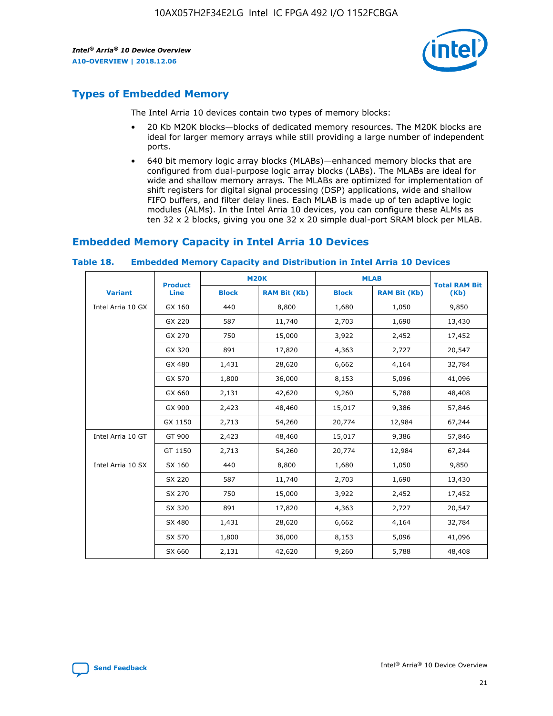

# **Types of Embedded Memory**

The Intel Arria 10 devices contain two types of memory blocks:

- 20 Kb M20K blocks—blocks of dedicated memory resources. The M20K blocks are ideal for larger memory arrays while still providing a large number of independent ports.
- 640 bit memory logic array blocks (MLABs)—enhanced memory blocks that are configured from dual-purpose logic array blocks (LABs). The MLABs are ideal for wide and shallow memory arrays. The MLABs are optimized for implementation of shift registers for digital signal processing (DSP) applications, wide and shallow FIFO buffers, and filter delay lines. Each MLAB is made up of ten adaptive logic modules (ALMs). In the Intel Arria 10 devices, you can configure these ALMs as ten 32 x 2 blocks, giving you one 32 x 20 simple dual-port SRAM block per MLAB.

# **Embedded Memory Capacity in Intel Arria 10 Devices**

|                   | <b>Product</b> |              | <b>M20K</b>         | <b>MLAB</b>  |                     | <b>Total RAM Bit</b> |
|-------------------|----------------|--------------|---------------------|--------------|---------------------|----------------------|
| <b>Variant</b>    | Line           | <b>Block</b> | <b>RAM Bit (Kb)</b> | <b>Block</b> | <b>RAM Bit (Kb)</b> | (Kb)                 |
| Intel Arria 10 GX | GX 160         | 440          | 8,800               | 1,680        | 1,050               | 9,850                |
|                   | GX 220         | 587          | 11,740              | 2,703        | 1,690               | 13,430               |
|                   | GX 270         | 750          | 15,000              | 3,922        | 2,452               | 17,452               |
|                   | GX 320         | 891          | 17,820              | 4,363        | 2,727               | 20,547               |
|                   | GX 480         | 1,431        | 28,620              | 6,662        | 4,164               | 32,784               |
|                   | GX 570         | 1,800        | 36,000              | 8,153        | 5,096               | 41,096               |
|                   | GX 660         | 2,131        | 42,620              | 9,260        | 5,788               | 48,408               |
|                   | GX 900         | 2,423        | 48,460              | 15,017       | 9,386               | 57,846               |
|                   | GX 1150        | 2,713        | 54,260              | 20,774       | 12,984              | 67,244               |
| Intel Arria 10 GT | GT 900         | 2,423        | 48,460              | 15,017       | 9,386               | 57,846               |
|                   | GT 1150        | 2,713        | 54,260              | 20,774       | 12,984              | 67,244               |
| Intel Arria 10 SX | SX 160         | 440          | 8,800               | 1,680        | 1,050               | 9,850                |
|                   | SX 220         | 587          | 11,740              | 2,703        | 1,690               | 13,430               |
|                   | SX 270         | 750          | 15,000              | 3,922        | 2,452               | 17,452               |
|                   | SX 320         | 891          | 17,820              | 4,363        | 2,727               | 20,547               |
|                   | SX 480         | 1,431        | 28,620              | 6,662        | 4,164               | 32,784               |
|                   | SX 570         | 1,800        | 36,000              | 8,153        | 5,096               | 41,096               |
|                   | SX 660         | 2,131        | 42,620              | 9,260        | 5,788               | 48,408               |

#### **Table 18. Embedded Memory Capacity and Distribution in Intel Arria 10 Devices**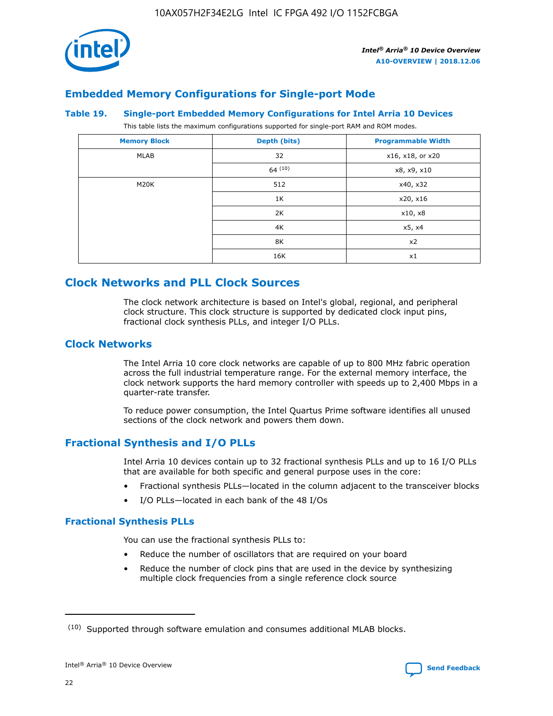

# **Embedded Memory Configurations for Single-port Mode**

#### **Table 19. Single-port Embedded Memory Configurations for Intel Arria 10 Devices**

This table lists the maximum configurations supported for single-port RAM and ROM modes.

| <b>Memory Block</b> | Depth (bits) | <b>Programmable Width</b> |
|---------------------|--------------|---------------------------|
| MLAB                | 32           | x16, x18, or x20          |
|                     | 64(10)       | x8, x9, x10               |
| M20K                | 512          | x40, x32                  |
|                     | 1K           | x20, x16                  |
|                     | 2K           | x10, x8                   |
|                     | 4K           | x5, x4                    |
|                     | 8K           | x2                        |
|                     | 16K          | x1                        |

# **Clock Networks and PLL Clock Sources**

The clock network architecture is based on Intel's global, regional, and peripheral clock structure. This clock structure is supported by dedicated clock input pins, fractional clock synthesis PLLs, and integer I/O PLLs.

## **Clock Networks**

The Intel Arria 10 core clock networks are capable of up to 800 MHz fabric operation across the full industrial temperature range. For the external memory interface, the clock network supports the hard memory controller with speeds up to 2,400 Mbps in a quarter-rate transfer.

To reduce power consumption, the Intel Quartus Prime software identifies all unused sections of the clock network and powers them down.

## **Fractional Synthesis and I/O PLLs**

Intel Arria 10 devices contain up to 32 fractional synthesis PLLs and up to 16 I/O PLLs that are available for both specific and general purpose uses in the core:

- Fractional synthesis PLLs—located in the column adjacent to the transceiver blocks
- I/O PLLs—located in each bank of the 48 I/Os

#### **Fractional Synthesis PLLs**

You can use the fractional synthesis PLLs to:

- Reduce the number of oscillators that are required on your board
- Reduce the number of clock pins that are used in the device by synthesizing multiple clock frequencies from a single reference clock source

<sup>(10)</sup> Supported through software emulation and consumes additional MLAB blocks.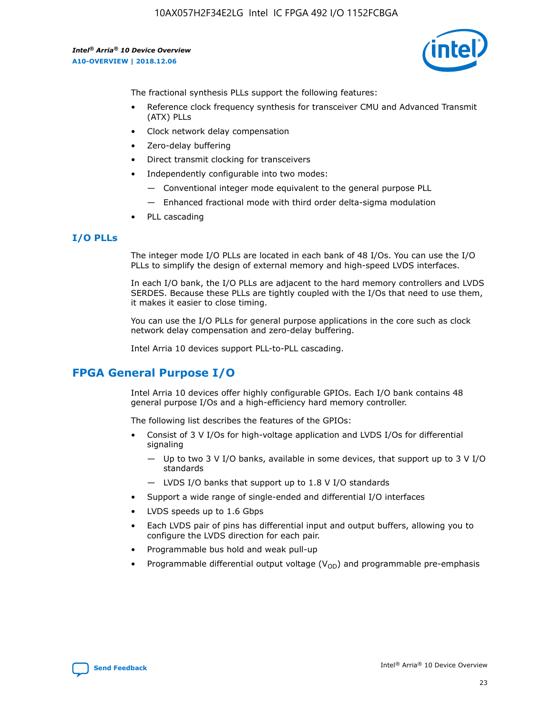10AX057H2F34E2LG Intel IC FPGA 492 I/O 1152FCBGA

*Intel® Arria® 10 Device Overview* **A10-OVERVIEW | 2018.12.06**



The fractional synthesis PLLs support the following features:

- Reference clock frequency synthesis for transceiver CMU and Advanced Transmit (ATX) PLLs
- Clock network delay compensation
- Zero-delay buffering
- Direct transmit clocking for transceivers
- Independently configurable into two modes:
	- Conventional integer mode equivalent to the general purpose PLL
	- Enhanced fractional mode with third order delta-sigma modulation
- PLL cascading

## **I/O PLLs**

The integer mode I/O PLLs are located in each bank of 48 I/Os. You can use the I/O PLLs to simplify the design of external memory and high-speed LVDS interfaces.

In each I/O bank, the I/O PLLs are adjacent to the hard memory controllers and LVDS SERDES. Because these PLLs are tightly coupled with the I/Os that need to use them, it makes it easier to close timing.

You can use the I/O PLLs for general purpose applications in the core such as clock network delay compensation and zero-delay buffering.

Intel Arria 10 devices support PLL-to-PLL cascading.

# **FPGA General Purpose I/O**

Intel Arria 10 devices offer highly configurable GPIOs. Each I/O bank contains 48 general purpose I/Os and a high-efficiency hard memory controller.

The following list describes the features of the GPIOs:

- Consist of 3 V I/Os for high-voltage application and LVDS I/Os for differential signaling
	- Up to two 3 V I/O banks, available in some devices, that support up to 3 V I/O standards
	- LVDS I/O banks that support up to 1.8 V I/O standards
- Support a wide range of single-ended and differential I/O interfaces
- LVDS speeds up to 1.6 Gbps
- Each LVDS pair of pins has differential input and output buffers, allowing you to configure the LVDS direction for each pair.
- Programmable bus hold and weak pull-up
- Programmable differential output voltage  $(V_{OD})$  and programmable pre-emphasis

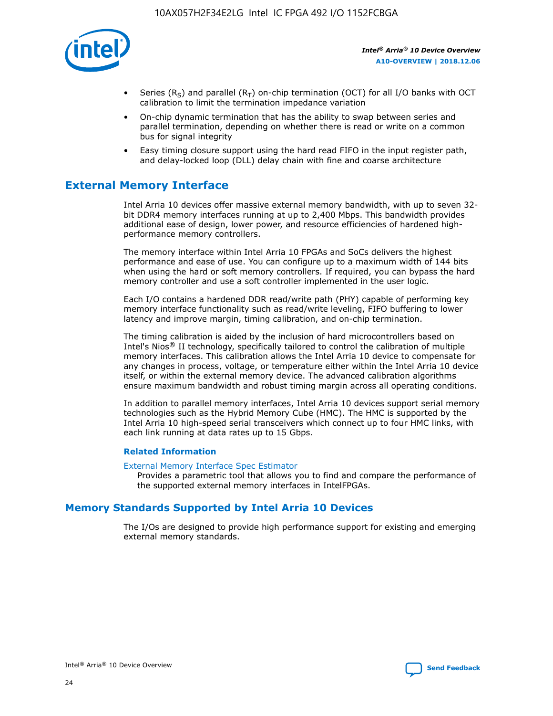

- Series (R<sub>S</sub>) and parallel (R<sub>T</sub>) on-chip termination (OCT) for all I/O banks with OCT calibration to limit the termination impedance variation
- On-chip dynamic termination that has the ability to swap between series and parallel termination, depending on whether there is read or write on a common bus for signal integrity
- Easy timing closure support using the hard read FIFO in the input register path, and delay-locked loop (DLL) delay chain with fine and coarse architecture

# **External Memory Interface**

Intel Arria 10 devices offer massive external memory bandwidth, with up to seven 32 bit DDR4 memory interfaces running at up to 2,400 Mbps. This bandwidth provides additional ease of design, lower power, and resource efficiencies of hardened highperformance memory controllers.

The memory interface within Intel Arria 10 FPGAs and SoCs delivers the highest performance and ease of use. You can configure up to a maximum width of 144 bits when using the hard or soft memory controllers. If required, you can bypass the hard memory controller and use a soft controller implemented in the user logic.

Each I/O contains a hardened DDR read/write path (PHY) capable of performing key memory interface functionality such as read/write leveling, FIFO buffering to lower latency and improve margin, timing calibration, and on-chip termination.

The timing calibration is aided by the inclusion of hard microcontrollers based on Intel's Nios® II technology, specifically tailored to control the calibration of multiple memory interfaces. This calibration allows the Intel Arria 10 device to compensate for any changes in process, voltage, or temperature either within the Intel Arria 10 device itself, or within the external memory device. The advanced calibration algorithms ensure maximum bandwidth and robust timing margin across all operating conditions.

In addition to parallel memory interfaces, Intel Arria 10 devices support serial memory technologies such as the Hybrid Memory Cube (HMC). The HMC is supported by the Intel Arria 10 high-speed serial transceivers which connect up to four HMC links, with each link running at data rates up to 15 Gbps.

#### **Related Information**

#### [External Memory Interface Spec Estimator](http://www.altera.com/technology/memory/estimator/mem-emif-index.html)

Provides a parametric tool that allows you to find and compare the performance of the supported external memory interfaces in IntelFPGAs.

# **Memory Standards Supported by Intel Arria 10 Devices**

The I/Os are designed to provide high performance support for existing and emerging external memory standards.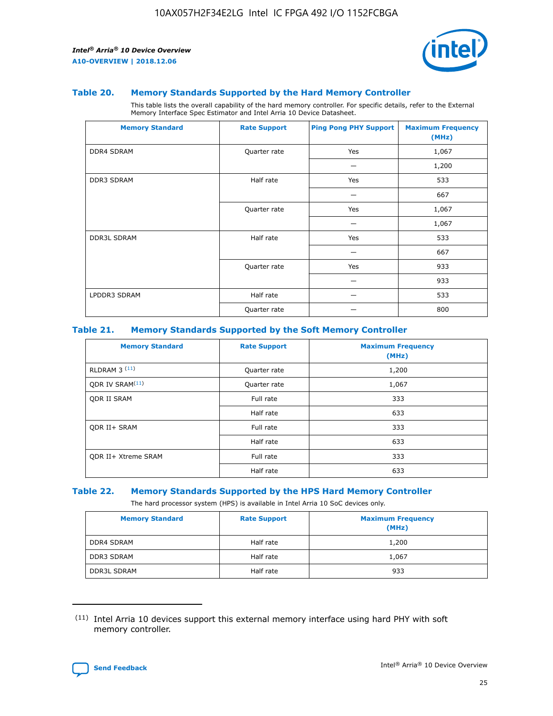

#### **Table 20. Memory Standards Supported by the Hard Memory Controller**

This table lists the overall capability of the hard memory controller. For specific details, refer to the External Memory Interface Spec Estimator and Intel Arria 10 Device Datasheet.

| <b>Memory Standard</b> | <b>Rate Support</b> | <b>Ping Pong PHY Support</b> | <b>Maximum Frequency</b><br>(MHz) |
|------------------------|---------------------|------------------------------|-----------------------------------|
| <b>DDR4 SDRAM</b>      | Quarter rate        | Yes                          | 1,067                             |
|                        |                     |                              | 1,200                             |
| DDR3 SDRAM             | Half rate           | Yes                          | 533                               |
|                        |                     |                              | 667                               |
|                        | Quarter rate        | Yes                          | 1,067                             |
|                        |                     |                              | 1,067                             |
| <b>DDR3L SDRAM</b>     | Half rate           | Yes                          | 533                               |
|                        |                     |                              | 667                               |
|                        | Quarter rate        | Yes                          | 933                               |
|                        |                     |                              | 933                               |
| LPDDR3 SDRAM           | Half rate           |                              | 533                               |
|                        | Quarter rate        |                              | 800                               |

#### **Table 21. Memory Standards Supported by the Soft Memory Controller**

| <b>Memory Standard</b>      | <b>Rate Support</b> | <b>Maximum Frequency</b><br>(MHz) |
|-----------------------------|---------------------|-----------------------------------|
| <b>RLDRAM 3 (11)</b>        | Quarter rate        | 1,200                             |
| ODR IV SRAM <sup>(11)</sup> | Quarter rate        | 1,067                             |
| <b>ODR II SRAM</b>          | Full rate           | 333                               |
|                             | Half rate           | 633                               |
| <b>ODR II+ SRAM</b>         | Full rate           | 333                               |
|                             | Half rate           | 633                               |
| <b>ODR II+ Xtreme SRAM</b>  | Full rate           | 333                               |
|                             | Half rate           | 633                               |

#### **Table 22. Memory Standards Supported by the HPS Hard Memory Controller**

The hard processor system (HPS) is available in Intel Arria 10 SoC devices only.

| <b>Memory Standard</b> | <b>Rate Support</b> | <b>Maximum Frequency</b><br>(MHz) |
|------------------------|---------------------|-----------------------------------|
| <b>DDR4 SDRAM</b>      | Half rate           | 1,200                             |
| <b>DDR3 SDRAM</b>      | Half rate           | 1,067                             |
| <b>DDR3L SDRAM</b>     | Half rate           | 933                               |

<sup>(11)</sup> Intel Arria 10 devices support this external memory interface using hard PHY with soft memory controller.

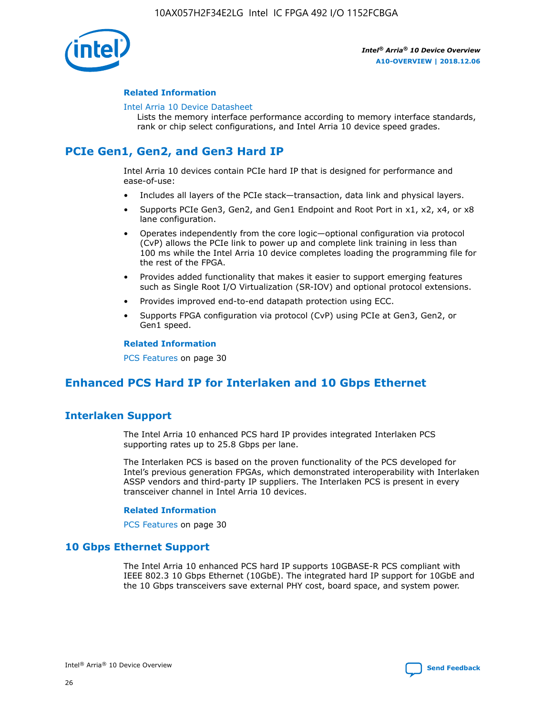

#### **Related Information**

#### [Intel Arria 10 Device Datasheet](https://www.intel.com/content/www/us/en/programmable/documentation/mcn1413182292568.html#mcn1413182153340)

Lists the memory interface performance according to memory interface standards, rank or chip select configurations, and Intel Arria 10 device speed grades.

# **PCIe Gen1, Gen2, and Gen3 Hard IP**

Intel Arria 10 devices contain PCIe hard IP that is designed for performance and ease-of-use:

- Includes all layers of the PCIe stack—transaction, data link and physical layers.
- Supports PCIe Gen3, Gen2, and Gen1 Endpoint and Root Port in x1, x2, x4, or x8 lane configuration.
- Operates independently from the core logic—optional configuration via protocol (CvP) allows the PCIe link to power up and complete link training in less than 100 ms while the Intel Arria 10 device completes loading the programming file for the rest of the FPGA.
- Provides added functionality that makes it easier to support emerging features such as Single Root I/O Virtualization (SR-IOV) and optional protocol extensions.
- Provides improved end-to-end datapath protection using ECC.
- Supports FPGA configuration via protocol (CvP) using PCIe at Gen3, Gen2, or Gen1 speed.

#### **Related Information**

PCS Features on page 30

# **Enhanced PCS Hard IP for Interlaken and 10 Gbps Ethernet**

# **Interlaken Support**

The Intel Arria 10 enhanced PCS hard IP provides integrated Interlaken PCS supporting rates up to 25.8 Gbps per lane.

The Interlaken PCS is based on the proven functionality of the PCS developed for Intel's previous generation FPGAs, which demonstrated interoperability with Interlaken ASSP vendors and third-party IP suppliers. The Interlaken PCS is present in every transceiver channel in Intel Arria 10 devices.

#### **Related Information**

PCS Features on page 30

## **10 Gbps Ethernet Support**

The Intel Arria 10 enhanced PCS hard IP supports 10GBASE-R PCS compliant with IEEE 802.3 10 Gbps Ethernet (10GbE). The integrated hard IP support for 10GbE and the 10 Gbps transceivers save external PHY cost, board space, and system power.

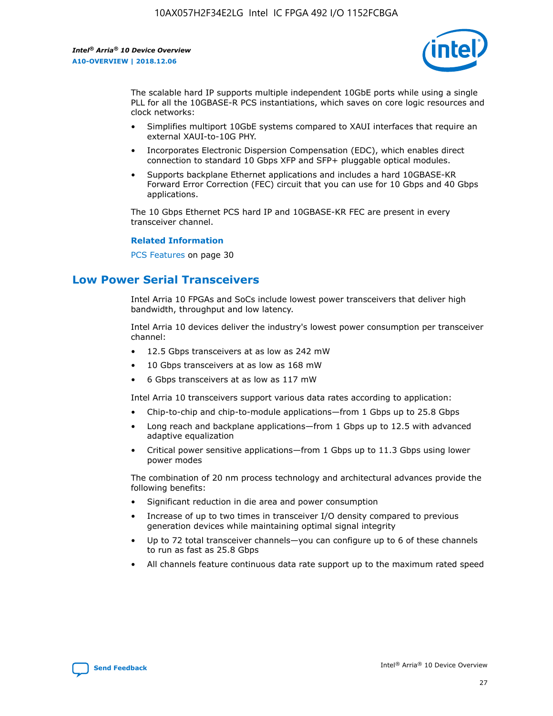

The scalable hard IP supports multiple independent 10GbE ports while using a single PLL for all the 10GBASE-R PCS instantiations, which saves on core logic resources and clock networks:

- Simplifies multiport 10GbE systems compared to XAUI interfaces that require an external XAUI-to-10G PHY.
- Incorporates Electronic Dispersion Compensation (EDC), which enables direct connection to standard 10 Gbps XFP and SFP+ pluggable optical modules.
- Supports backplane Ethernet applications and includes a hard 10GBASE-KR Forward Error Correction (FEC) circuit that you can use for 10 Gbps and 40 Gbps applications.

The 10 Gbps Ethernet PCS hard IP and 10GBASE-KR FEC are present in every transceiver channel.

#### **Related Information**

PCS Features on page 30

# **Low Power Serial Transceivers**

Intel Arria 10 FPGAs and SoCs include lowest power transceivers that deliver high bandwidth, throughput and low latency.

Intel Arria 10 devices deliver the industry's lowest power consumption per transceiver channel:

- 12.5 Gbps transceivers at as low as 242 mW
- 10 Gbps transceivers at as low as 168 mW
- 6 Gbps transceivers at as low as 117 mW

Intel Arria 10 transceivers support various data rates according to application:

- Chip-to-chip and chip-to-module applications—from 1 Gbps up to 25.8 Gbps
- Long reach and backplane applications—from 1 Gbps up to 12.5 with advanced adaptive equalization
- Critical power sensitive applications—from 1 Gbps up to 11.3 Gbps using lower power modes

The combination of 20 nm process technology and architectural advances provide the following benefits:

- Significant reduction in die area and power consumption
- Increase of up to two times in transceiver I/O density compared to previous generation devices while maintaining optimal signal integrity
- Up to 72 total transceiver channels—you can configure up to 6 of these channels to run as fast as 25.8 Gbps
- All channels feature continuous data rate support up to the maximum rated speed

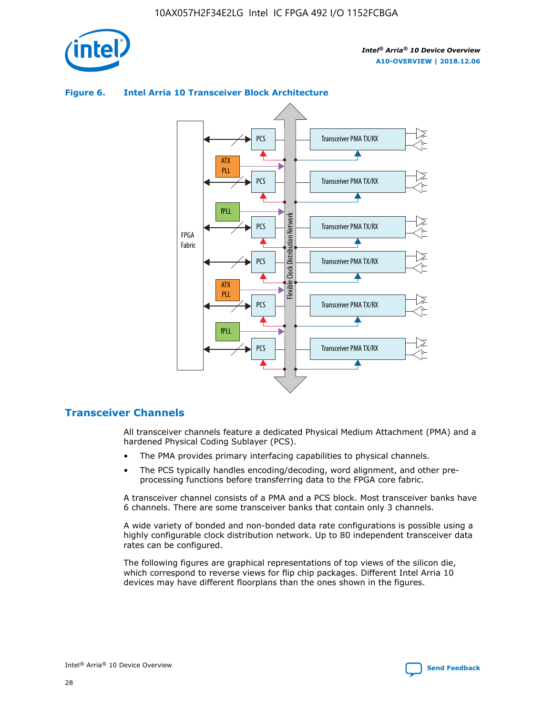



## **Figure 6. Intel Arria 10 Transceiver Block Architecture**

# **Transceiver Channels**

All transceiver channels feature a dedicated Physical Medium Attachment (PMA) and a hardened Physical Coding Sublayer (PCS).

- The PMA provides primary interfacing capabilities to physical channels.
- The PCS typically handles encoding/decoding, word alignment, and other preprocessing functions before transferring data to the FPGA core fabric.

A transceiver channel consists of a PMA and a PCS block. Most transceiver banks have 6 channels. There are some transceiver banks that contain only 3 channels.

A wide variety of bonded and non-bonded data rate configurations is possible using a highly configurable clock distribution network. Up to 80 independent transceiver data rates can be configured.

The following figures are graphical representations of top views of the silicon die, which correspond to reverse views for flip chip packages. Different Intel Arria 10 devices may have different floorplans than the ones shown in the figures.

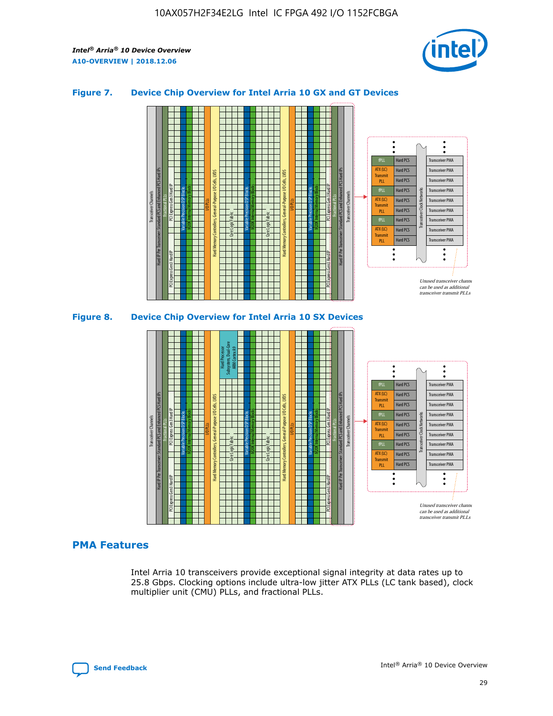

## **Figure 7. Device Chip Overview for Intel Arria 10 GX and GT Devices**



M20K Internal Memory Blocks Core Logic Fabric Transceiver Channels Hard IP Per Transceiver: Standard PCS and Enhanced PCS Hard IPs PCI Express Gen3 Hard IP Fractional PLLs M20K Internal Memory Blocks PCI Express Gen3 Hard IP Variable Precision DSP Blocks I/O PLLs Hard Memory Controllers, General-Purpose I/O Cells, LVDS Hard Processor Subsystem, Dual-Core ARM Cortex A9 M20K Internal Memory Blocks Variable Precision DSP Blocks M20K Internal Memory Blocks Core Logic Fabric I/O PLLs Hard Memory Controllers, General-Purpose I/O Cells, LVDS M20K Internal Memory Blocks Variable Precision DSP Blocks M20K Internal Memory Blocks Transceiver Channels Hard IP Per Transceiver: Standard PCS and Enhanced PCS Hard IPs PCI Express Gen3 Hard IP Fractional PLLs PCI Express Gen3 Hard IP Hard PCS Hard PCS Hard PCS Hard PCS Hard PCS Hard PCS Hard PCS Hard PCS Transceiver PMA Transceiver PMA Transceiver PMA Transceiver PMA Transceiver PMA Transceiver PMA Unused transceiver chann can be used as additional transceiver transmit PLLs Transceiver PMA Transceiver PMA Transceiver Clock Networks ATX (LC) **Transmit** PLL fPLL ATX (LC) Transmi PLL fPLL ATX (LC) **Transmit** PLL

## **PMA Features**

Intel Arria 10 transceivers provide exceptional signal integrity at data rates up to 25.8 Gbps. Clocking options include ultra-low jitter ATX PLLs (LC tank based), clock multiplier unit (CMU) PLLs, and fractional PLLs.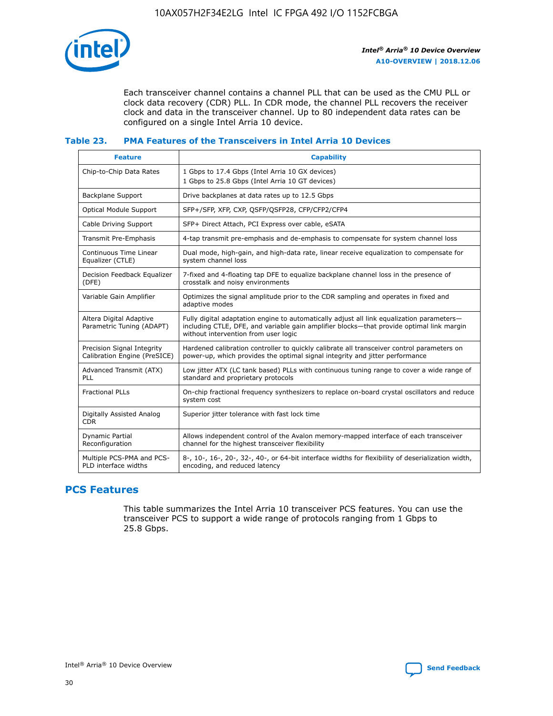

Each transceiver channel contains a channel PLL that can be used as the CMU PLL or clock data recovery (CDR) PLL. In CDR mode, the channel PLL recovers the receiver clock and data in the transceiver channel. Up to 80 independent data rates can be configured on a single Intel Arria 10 device.

## **Table 23. PMA Features of the Transceivers in Intel Arria 10 Devices**

| <b>Feature</b>                                             | <b>Capability</b>                                                                                                                                                                                                             |
|------------------------------------------------------------|-------------------------------------------------------------------------------------------------------------------------------------------------------------------------------------------------------------------------------|
| Chip-to-Chip Data Rates                                    | 1 Gbps to 17.4 Gbps (Intel Arria 10 GX devices)<br>1 Gbps to 25.8 Gbps (Intel Arria 10 GT devices)                                                                                                                            |
| <b>Backplane Support</b>                                   | Drive backplanes at data rates up to 12.5 Gbps                                                                                                                                                                                |
| <b>Optical Module Support</b>                              | SFP+/SFP, XFP, CXP, QSFP/QSFP28, CFP/CFP2/CFP4                                                                                                                                                                                |
| Cable Driving Support                                      | SFP+ Direct Attach, PCI Express over cable, eSATA                                                                                                                                                                             |
| Transmit Pre-Emphasis                                      | 4-tap transmit pre-emphasis and de-emphasis to compensate for system channel loss                                                                                                                                             |
| Continuous Time Linear<br>Equalizer (CTLE)                 | Dual mode, high-gain, and high-data rate, linear receive equalization to compensate for<br>system channel loss                                                                                                                |
| Decision Feedback Equalizer<br>(DFE)                       | 7-fixed and 4-floating tap DFE to equalize backplane channel loss in the presence of<br>crosstalk and noisy environments                                                                                                      |
| Variable Gain Amplifier                                    | Optimizes the signal amplitude prior to the CDR sampling and operates in fixed and<br>adaptive modes                                                                                                                          |
| Altera Digital Adaptive<br>Parametric Tuning (ADAPT)       | Fully digital adaptation engine to automatically adjust all link equalization parameters-<br>including CTLE, DFE, and variable gain amplifier blocks—that provide optimal link margin<br>without intervention from user logic |
| Precision Signal Integrity<br>Calibration Engine (PreSICE) | Hardened calibration controller to quickly calibrate all transceiver control parameters on<br>power-up, which provides the optimal signal integrity and jitter performance                                                    |
| Advanced Transmit (ATX)<br>PLL                             | Low jitter ATX (LC tank based) PLLs with continuous tuning range to cover a wide range of<br>standard and proprietary protocols                                                                                               |
| <b>Fractional PLLs</b>                                     | On-chip fractional frequency synthesizers to replace on-board crystal oscillators and reduce<br>system cost                                                                                                                   |
| Digitally Assisted Analog<br><b>CDR</b>                    | Superior jitter tolerance with fast lock time                                                                                                                                                                                 |
| Dynamic Partial<br>Reconfiguration                         | Allows independent control of the Avalon memory-mapped interface of each transceiver<br>channel for the highest transceiver flexibility                                                                                       |
| Multiple PCS-PMA and PCS-<br>PLD interface widths          | 8-, 10-, 16-, 20-, 32-, 40-, or 64-bit interface widths for flexibility of deserialization width,<br>encoding, and reduced latency                                                                                            |

# **PCS Features**

This table summarizes the Intel Arria 10 transceiver PCS features. You can use the transceiver PCS to support a wide range of protocols ranging from 1 Gbps to 25.8 Gbps.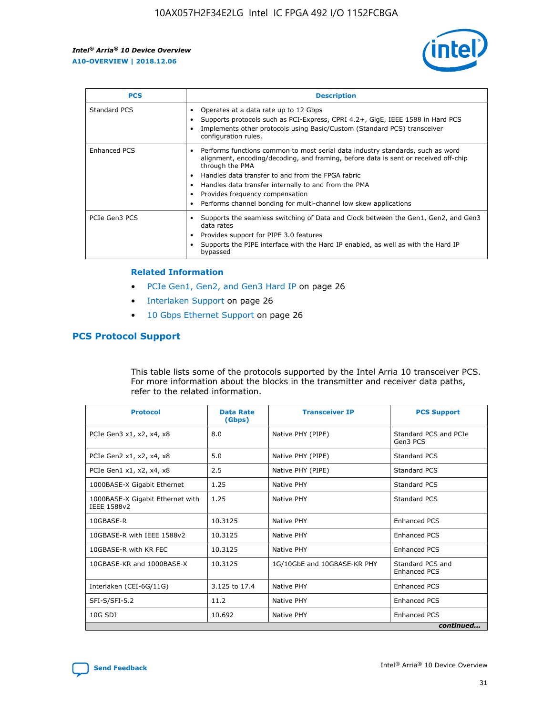

| <b>PCS</b>    | <b>Description</b>                                                                                                                                                                                                                                                                                                                                                                                             |
|---------------|----------------------------------------------------------------------------------------------------------------------------------------------------------------------------------------------------------------------------------------------------------------------------------------------------------------------------------------------------------------------------------------------------------------|
| Standard PCS  | Operates at a data rate up to 12 Gbps<br>Supports protocols such as PCI-Express, CPRI 4.2+, GigE, IEEE 1588 in Hard PCS<br>Implements other protocols using Basic/Custom (Standard PCS) transceiver<br>configuration rules.                                                                                                                                                                                    |
| Enhanced PCS  | Performs functions common to most serial data industry standards, such as word<br>alignment, encoding/decoding, and framing, before data is sent or received off-chip<br>through the PMA<br>• Handles data transfer to and from the FPGA fabric<br>Handles data transfer internally to and from the PMA<br>Provides frequency compensation<br>Performs channel bonding for multi-channel low skew applications |
| PCIe Gen3 PCS | Supports the seamless switching of Data and Clock between the Gen1, Gen2, and Gen3<br>data rates<br>Provides support for PIPE 3.0 features<br>Supports the PIPE interface with the Hard IP enabled, as well as with the Hard IP<br>bypassed                                                                                                                                                                    |

#### **Related Information**

- PCIe Gen1, Gen2, and Gen3 Hard IP on page 26
- Interlaken Support on page 26
- 10 Gbps Ethernet Support on page 26

# **PCS Protocol Support**

This table lists some of the protocols supported by the Intel Arria 10 transceiver PCS. For more information about the blocks in the transmitter and receiver data paths, refer to the related information.

| <b>Protocol</b>                                 | <b>Data Rate</b><br>(Gbps) | <b>Transceiver IP</b>       | <b>PCS Support</b>                      |
|-------------------------------------------------|----------------------------|-----------------------------|-----------------------------------------|
| PCIe Gen3 x1, x2, x4, x8                        | 8.0                        | Native PHY (PIPE)           | Standard PCS and PCIe<br>Gen3 PCS       |
| PCIe Gen2 x1, x2, x4, x8                        | 5.0                        | Native PHY (PIPE)           | <b>Standard PCS</b>                     |
| PCIe Gen1 x1, x2, x4, x8                        | 2.5                        | Native PHY (PIPE)           | Standard PCS                            |
| 1000BASE-X Gigabit Ethernet                     | 1.25                       | Native PHY                  | <b>Standard PCS</b>                     |
| 1000BASE-X Gigabit Ethernet with<br>IEEE 1588v2 | 1.25                       | Native PHY                  | Standard PCS                            |
| 10GBASE-R                                       | 10.3125                    | Native PHY                  | <b>Enhanced PCS</b>                     |
| 10GBASE-R with IEEE 1588v2                      | 10.3125                    | Native PHY                  | <b>Enhanced PCS</b>                     |
| 10GBASE-R with KR FEC                           | 10.3125                    | Native PHY                  | <b>Enhanced PCS</b>                     |
| 10GBASE-KR and 1000BASE-X                       | 10.3125                    | 1G/10GbE and 10GBASE-KR PHY | Standard PCS and<br><b>Enhanced PCS</b> |
| Interlaken (CEI-6G/11G)                         | 3.125 to 17.4              | Native PHY                  | <b>Enhanced PCS</b>                     |
| SFI-S/SFI-5.2                                   | 11.2                       | Native PHY                  | <b>Enhanced PCS</b>                     |
| $10G$ SDI                                       | 10.692                     | Native PHY                  | <b>Enhanced PCS</b>                     |
|                                                 |                            |                             | continued                               |

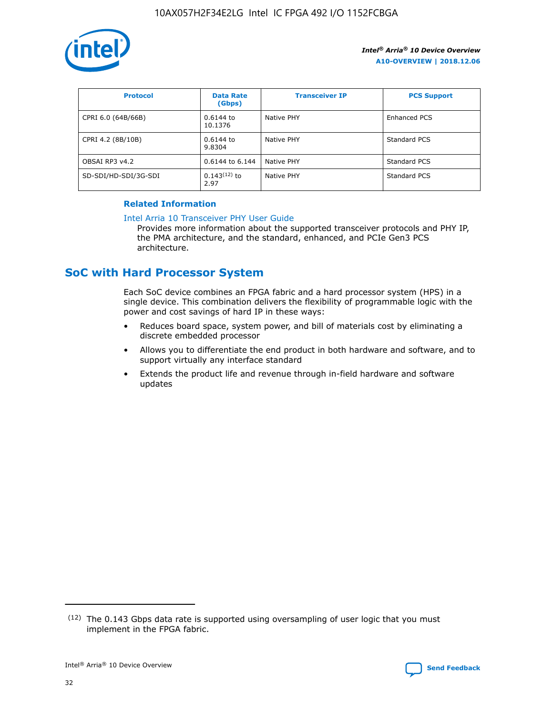

| <b>Protocol</b>      | <b>Data Rate</b><br>(Gbps) | <b>Transceiver IP</b> | <b>PCS Support</b> |
|----------------------|----------------------------|-----------------------|--------------------|
| CPRI 6.0 (64B/66B)   | 0.6144 to<br>10.1376       | Native PHY            | Enhanced PCS       |
| CPRI 4.2 (8B/10B)    | 0.6144 to<br>9.8304        | Native PHY            | Standard PCS       |
| OBSAI RP3 v4.2       | 0.6144 to 6.144            | Native PHY            | Standard PCS       |
| SD-SDI/HD-SDI/3G-SDI | $0.143(12)$ to<br>2.97     | Native PHY            | Standard PCS       |

## **Related Information**

#### [Intel Arria 10 Transceiver PHY User Guide](https://www.intel.com/content/www/us/en/programmable/documentation/nik1398707230472.html#nik1398707091164)

Provides more information about the supported transceiver protocols and PHY IP, the PMA architecture, and the standard, enhanced, and PCIe Gen3 PCS architecture.

# **SoC with Hard Processor System**

Each SoC device combines an FPGA fabric and a hard processor system (HPS) in a single device. This combination delivers the flexibility of programmable logic with the power and cost savings of hard IP in these ways:

- Reduces board space, system power, and bill of materials cost by eliminating a discrete embedded processor
- Allows you to differentiate the end product in both hardware and software, and to support virtually any interface standard
- Extends the product life and revenue through in-field hardware and software updates

 $(12)$  The 0.143 Gbps data rate is supported using oversampling of user logic that you must implement in the FPGA fabric.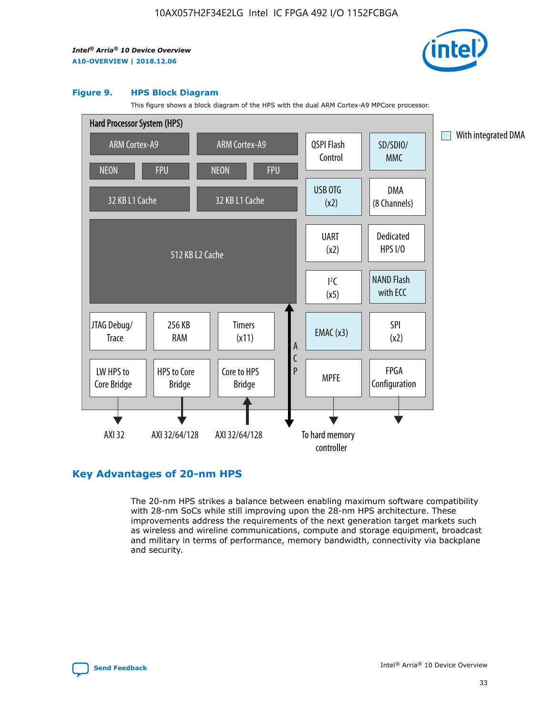

#### **Figure 9. HPS Block Diagram**

This figure shows a block diagram of the HPS with the dual ARM Cortex-A9 MPCore processor.



# **Key Advantages of 20-nm HPS**

The 20-nm HPS strikes a balance between enabling maximum software compatibility with 28-nm SoCs while still improving upon the 28-nm HPS architecture. These improvements address the requirements of the next generation target markets such as wireless and wireline communications, compute and storage equipment, broadcast and military in terms of performance, memory bandwidth, connectivity via backplane and security.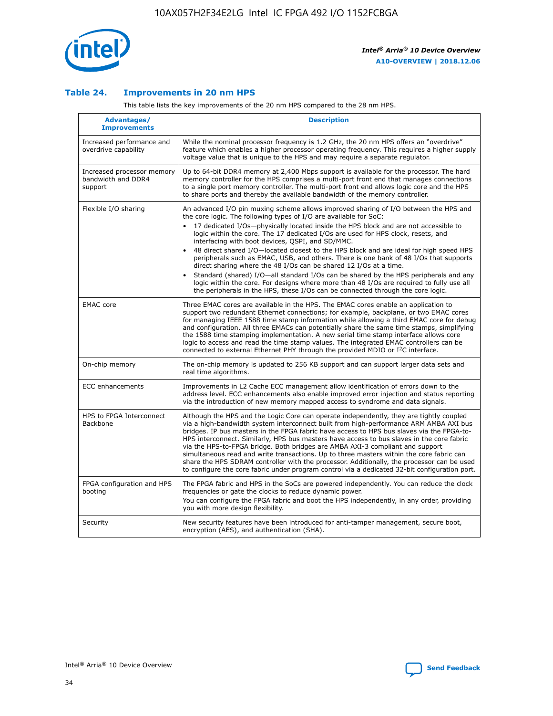

## **Table 24. Improvements in 20 nm HPS**

This table lists the key improvements of the 20 nm HPS compared to the 28 nm HPS.

| Advantages/<br><b>Improvements</b>                          | <b>Description</b>                                                                                                                                                                                                                                                                                                                                                                                                                                                                                                                                                                                                                                                                                                                                                                                                                                                                                                      |
|-------------------------------------------------------------|-------------------------------------------------------------------------------------------------------------------------------------------------------------------------------------------------------------------------------------------------------------------------------------------------------------------------------------------------------------------------------------------------------------------------------------------------------------------------------------------------------------------------------------------------------------------------------------------------------------------------------------------------------------------------------------------------------------------------------------------------------------------------------------------------------------------------------------------------------------------------------------------------------------------------|
| Increased performance and<br>overdrive capability           | While the nominal processor frequency is 1.2 GHz, the 20 nm HPS offers an "overdrive"<br>feature which enables a higher processor operating frequency. This requires a higher supply<br>voltage value that is unique to the HPS and may require a separate regulator.                                                                                                                                                                                                                                                                                                                                                                                                                                                                                                                                                                                                                                                   |
| Increased processor memory<br>bandwidth and DDR4<br>support | Up to 64-bit DDR4 memory at 2,400 Mbps support is available for the processor. The hard<br>memory controller for the HPS comprises a multi-port front end that manages connections<br>to a single port memory controller. The multi-port front end allows logic core and the HPS<br>to share ports and thereby the available bandwidth of the memory controller.                                                                                                                                                                                                                                                                                                                                                                                                                                                                                                                                                        |
| Flexible I/O sharing                                        | An advanced I/O pin muxing scheme allows improved sharing of I/O between the HPS and<br>the core logic. The following types of I/O are available for SoC:<br>17 dedicated I/Os-physically located inside the HPS block and are not accessible to<br>logic within the core. The 17 dedicated I/Os are used for HPS clock, resets, and<br>interfacing with boot devices, QSPI, and SD/MMC.<br>48 direct shared I/O-located closest to the HPS block and are ideal for high speed HPS<br>peripherals such as EMAC, USB, and others. There is one bank of 48 I/Os that supports<br>direct sharing where the 48 I/Os can be shared 12 I/Os at a time.<br>Standard (shared) I/O—all standard I/Os can be shared by the HPS peripherals and any<br>logic within the core. For designs where more than 48 I/Os are required to fully use all<br>the peripherals in the HPS, these I/Os can be connected through the core logic. |
| <b>EMAC</b> core                                            | Three EMAC cores are available in the HPS. The EMAC cores enable an application to<br>support two redundant Ethernet connections; for example, backplane, or two EMAC cores<br>for managing IEEE 1588 time stamp information while allowing a third EMAC core for debug<br>and configuration. All three EMACs can potentially share the same time stamps, simplifying<br>the 1588 time stamping implementation. A new serial time stamp interface allows core<br>logic to access and read the time stamp values. The integrated EMAC controllers can be<br>connected to external Ethernet PHY through the provided MDIO or I <sup>2</sup> C interface.                                                                                                                                                                                                                                                                  |
| On-chip memory                                              | The on-chip memory is updated to 256 KB support and can support larger data sets and<br>real time algorithms.                                                                                                                                                                                                                                                                                                                                                                                                                                                                                                                                                                                                                                                                                                                                                                                                           |
| ECC enhancements                                            | Improvements in L2 Cache ECC management allow identification of errors down to the<br>address level. ECC enhancements also enable improved error injection and status reporting<br>via the introduction of new memory mapped access to syndrome and data signals.                                                                                                                                                                                                                                                                                                                                                                                                                                                                                                                                                                                                                                                       |
| HPS to FPGA Interconnect<br>Backbone                        | Although the HPS and the Logic Core can operate independently, they are tightly coupled<br>via a high-bandwidth system interconnect built from high-performance ARM AMBA AXI bus<br>bridges. IP bus masters in the FPGA fabric have access to HPS bus slaves via the FPGA-to-<br>HPS interconnect. Similarly, HPS bus masters have access to bus slaves in the core fabric<br>via the HPS-to-FPGA bridge. Both bridges are AMBA AXI-3 compliant and support<br>simultaneous read and write transactions. Up to three masters within the core fabric can<br>share the HPS SDRAM controller with the processor. Additionally, the processor can be used<br>to configure the core fabric under program control via a dedicated 32-bit configuration port.                                                                                                                                                                  |
| FPGA configuration and HPS<br>booting                       | The FPGA fabric and HPS in the SoCs are powered independently. You can reduce the clock<br>frequencies or gate the clocks to reduce dynamic power.<br>You can configure the FPGA fabric and boot the HPS independently, in any order, providing<br>you with more design flexibility.                                                                                                                                                                                                                                                                                                                                                                                                                                                                                                                                                                                                                                    |
| Security                                                    | New security features have been introduced for anti-tamper management, secure boot,<br>encryption (AES), and authentication (SHA).                                                                                                                                                                                                                                                                                                                                                                                                                                                                                                                                                                                                                                                                                                                                                                                      |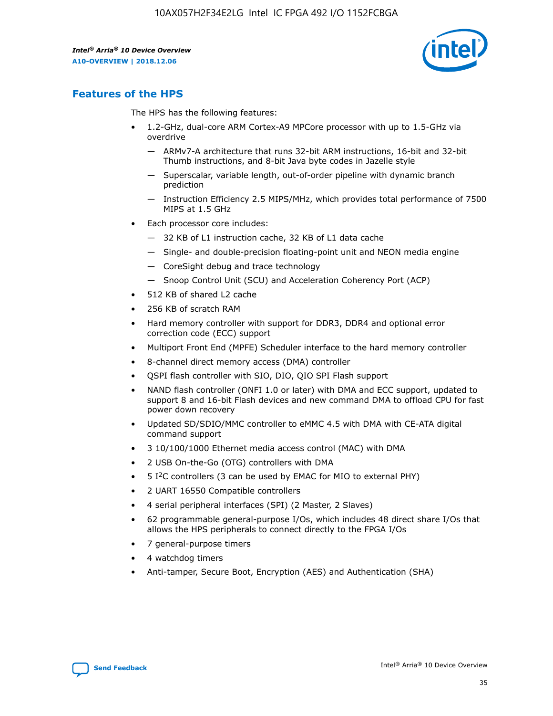

# **Features of the HPS**

The HPS has the following features:

- 1.2-GHz, dual-core ARM Cortex-A9 MPCore processor with up to 1.5-GHz via overdrive
	- ARMv7-A architecture that runs 32-bit ARM instructions, 16-bit and 32-bit Thumb instructions, and 8-bit Java byte codes in Jazelle style
	- Superscalar, variable length, out-of-order pipeline with dynamic branch prediction
	- Instruction Efficiency 2.5 MIPS/MHz, which provides total performance of 7500 MIPS at 1.5 GHz
- Each processor core includes:
	- 32 KB of L1 instruction cache, 32 KB of L1 data cache
	- Single- and double-precision floating-point unit and NEON media engine
	- CoreSight debug and trace technology
	- Snoop Control Unit (SCU) and Acceleration Coherency Port (ACP)
- 512 KB of shared L2 cache
- 256 KB of scratch RAM
- Hard memory controller with support for DDR3, DDR4 and optional error correction code (ECC) support
- Multiport Front End (MPFE) Scheduler interface to the hard memory controller
- 8-channel direct memory access (DMA) controller
- QSPI flash controller with SIO, DIO, QIO SPI Flash support
- NAND flash controller (ONFI 1.0 or later) with DMA and ECC support, updated to support 8 and 16-bit Flash devices and new command DMA to offload CPU for fast power down recovery
- Updated SD/SDIO/MMC controller to eMMC 4.5 with DMA with CE-ATA digital command support
- 3 10/100/1000 Ethernet media access control (MAC) with DMA
- 2 USB On-the-Go (OTG) controllers with DMA
- $\bullet$  5 I<sup>2</sup>C controllers (3 can be used by EMAC for MIO to external PHY)
- 2 UART 16550 Compatible controllers
- 4 serial peripheral interfaces (SPI) (2 Master, 2 Slaves)
- 62 programmable general-purpose I/Os, which includes 48 direct share I/Os that allows the HPS peripherals to connect directly to the FPGA I/Os
- 7 general-purpose timers
- 4 watchdog timers
- Anti-tamper, Secure Boot, Encryption (AES) and Authentication (SHA)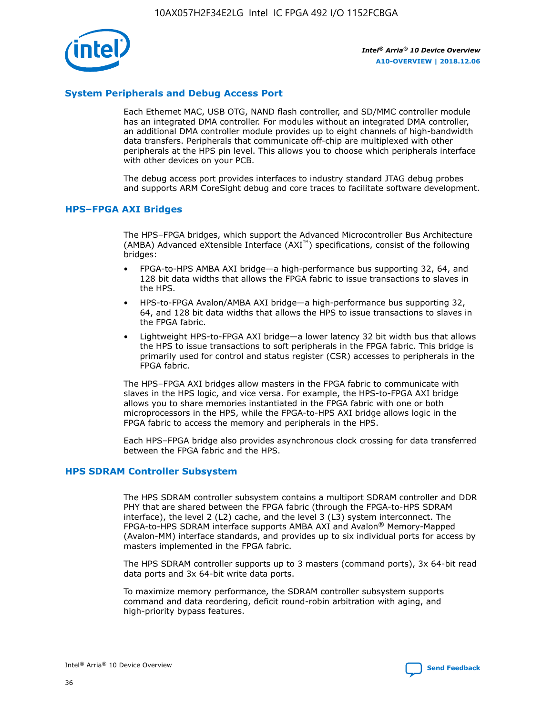

## **System Peripherals and Debug Access Port**

Each Ethernet MAC, USB OTG, NAND flash controller, and SD/MMC controller module has an integrated DMA controller. For modules without an integrated DMA controller, an additional DMA controller module provides up to eight channels of high-bandwidth data transfers. Peripherals that communicate off-chip are multiplexed with other peripherals at the HPS pin level. This allows you to choose which peripherals interface with other devices on your PCB.

The debug access port provides interfaces to industry standard JTAG debug probes and supports ARM CoreSight debug and core traces to facilitate software development.

## **HPS–FPGA AXI Bridges**

The HPS–FPGA bridges, which support the Advanced Microcontroller Bus Architecture (AMBA) Advanced eXtensible Interface (AXI™) specifications, consist of the following bridges:

- FPGA-to-HPS AMBA AXI bridge—a high-performance bus supporting 32, 64, and 128 bit data widths that allows the FPGA fabric to issue transactions to slaves in the HPS.
- HPS-to-FPGA Avalon/AMBA AXI bridge—a high-performance bus supporting 32, 64, and 128 bit data widths that allows the HPS to issue transactions to slaves in the FPGA fabric.
- Lightweight HPS-to-FPGA AXI bridge—a lower latency 32 bit width bus that allows the HPS to issue transactions to soft peripherals in the FPGA fabric. This bridge is primarily used for control and status register (CSR) accesses to peripherals in the FPGA fabric.

The HPS–FPGA AXI bridges allow masters in the FPGA fabric to communicate with slaves in the HPS logic, and vice versa. For example, the HPS-to-FPGA AXI bridge allows you to share memories instantiated in the FPGA fabric with one or both microprocessors in the HPS, while the FPGA-to-HPS AXI bridge allows logic in the FPGA fabric to access the memory and peripherals in the HPS.

Each HPS–FPGA bridge also provides asynchronous clock crossing for data transferred between the FPGA fabric and the HPS.

#### **HPS SDRAM Controller Subsystem**

The HPS SDRAM controller subsystem contains a multiport SDRAM controller and DDR PHY that are shared between the FPGA fabric (through the FPGA-to-HPS SDRAM interface), the level 2 (L2) cache, and the level 3 (L3) system interconnect. The FPGA-to-HPS SDRAM interface supports AMBA AXI and Avalon® Memory-Mapped (Avalon-MM) interface standards, and provides up to six individual ports for access by masters implemented in the FPGA fabric.

The HPS SDRAM controller supports up to 3 masters (command ports), 3x 64-bit read data ports and 3x 64-bit write data ports.

To maximize memory performance, the SDRAM controller subsystem supports command and data reordering, deficit round-robin arbitration with aging, and high-priority bypass features.

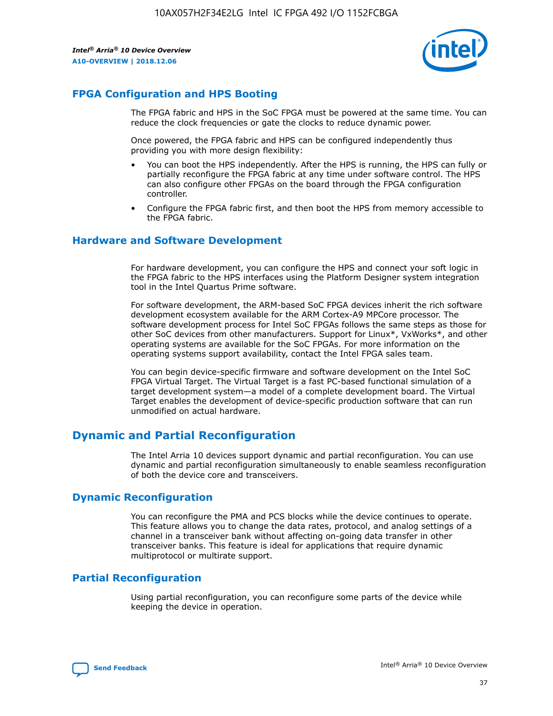

# **FPGA Configuration and HPS Booting**

The FPGA fabric and HPS in the SoC FPGA must be powered at the same time. You can reduce the clock frequencies or gate the clocks to reduce dynamic power.

Once powered, the FPGA fabric and HPS can be configured independently thus providing you with more design flexibility:

- You can boot the HPS independently. After the HPS is running, the HPS can fully or partially reconfigure the FPGA fabric at any time under software control. The HPS can also configure other FPGAs on the board through the FPGA configuration controller.
- Configure the FPGA fabric first, and then boot the HPS from memory accessible to the FPGA fabric.

## **Hardware and Software Development**

For hardware development, you can configure the HPS and connect your soft logic in the FPGA fabric to the HPS interfaces using the Platform Designer system integration tool in the Intel Quartus Prime software.

For software development, the ARM-based SoC FPGA devices inherit the rich software development ecosystem available for the ARM Cortex-A9 MPCore processor. The software development process for Intel SoC FPGAs follows the same steps as those for other SoC devices from other manufacturers. Support for Linux\*, VxWorks\*, and other operating systems are available for the SoC FPGAs. For more information on the operating systems support availability, contact the Intel FPGA sales team.

You can begin device-specific firmware and software development on the Intel SoC FPGA Virtual Target. The Virtual Target is a fast PC-based functional simulation of a target development system—a model of a complete development board. The Virtual Target enables the development of device-specific production software that can run unmodified on actual hardware.

# **Dynamic and Partial Reconfiguration**

The Intel Arria 10 devices support dynamic and partial reconfiguration. You can use dynamic and partial reconfiguration simultaneously to enable seamless reconfiguration of both the device core and transceivers.

# **Dynamic Reconfiguration**

You can reconfigure the PMA and PCS blocks while the device continues to operate. This feature allows you to change the data rates, protocol, and analog settings of a channel in a transceiver bank without affecting on-going data transfer in other transceiver banks. This feature is ideal for applications that require dynamic multiprotocol or multirate support.

# **Partial Reconfiguration**

Using partial reconfiguration, you can reconfigure some parts of the device while keeping the device in operation.

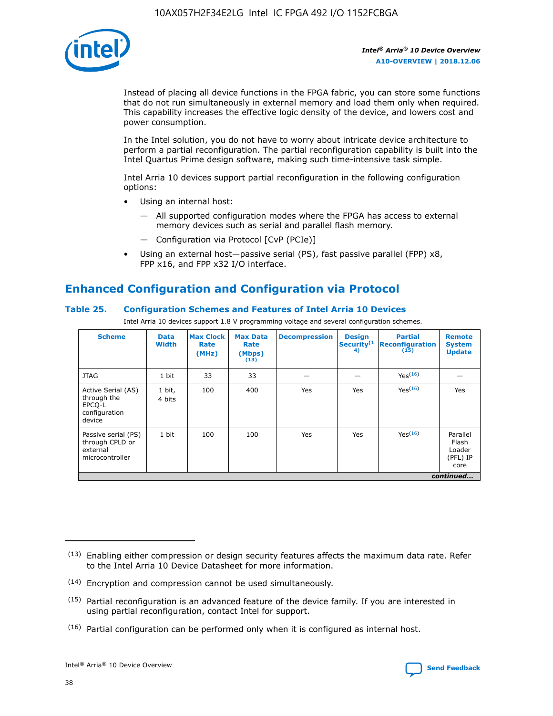

Instead of placing all device functions in the FPGA fabric, you can store some functions that do not run simultaneously in external memory and load them only when required. This capability increases the effective logic density of the device, and lowers cost and power consumption.

In the Intel solution, you do not have to worry about intricate device architecture to perform a partial reconfiguration. The partial reconfiguration capability is built into the Intel Quartus Prime design software, making such time-intensive task simple.

Intel Arria 10 devices support partial reconfiguration in the following configuration options:

- Using an internal host:
	- All supported configuration modes where the FPGA has access to external memory devices such as serial and parallel flash memory.
	- Configuration via Protocol [CvP (PCIe)]
- Using an external host—passive serial (PS), fast passive parallel (FPP) x8, FPP x16, and FPP x32 I/O interface.

# **Enhanced Configuration and Configuration via Protocol**

## **Table 25. Configuration Schemes and Features of Intel Arria 10 Devices**

Intel Arria 10 devices support 1.8 V programming voltage and several configuration schemes.

| <b>Scheme</b>                                                          | <b>Data</b><br><b>Width</b> | <b>Max Clock</b><br>Rate<br>(MHz) | <b>Max Data</b><br>Rate<br>(Mbps)<br>(13) | <b>Decompression</b> | <b>Design</b><br>Security <sup>(1</sup><br>4) | <b>Partial</b><br><b>Reconfiguration</b><br>(15) | <b>Remote</b><br><b>System</b><br><b>Update</b> |
|------------------------------------------------------------------------|-----------------------------|-----------------------------------|-------------------------------------------|----------------------|-----------------------------------------------|--------------------------------------------------|-------------------------------------------------|
| <b>JTAG</b>                                                            | 1 bit                       | 33                                | 33                                        |                      |                                               | Yes(16)                                          |                                                 |
| Active Serial (AS)<br>through the<br>EPCO-L<br>configuration<br>device | 1 bit,<br>4 bits            | 100                               | 400                                       | Yes                  | Yes                                           | $Y_{PS}(16)$                                     | Yes                                             |
| Passive serial (PS)<br>through CPLD or<br>external<br>microcontroller  | 1 bit                       | 100                               | 100                                       | Yes                  | Yes                                           | Yes(16)                                          | Parallel<br>Flash<br>Loader<br>(PFL) IP<br>core |
|                                                                        |                             |                                   |                                           |                      |                                               |                                                  | continued                                       |

<sup>(13)</sup> Enabling either compression or design security features affects the maximum data rate. Refer to the Intel Arria 10 Device Datasheet for more information.

<sup>(14)</sup> Encryption and compression cannot be used simultaneously.

 $<sup>(15)</sup>$  Partial reconfiguration is an advanced feature of the device family. If you are interested in</sup> using partial reconfiguration, contact Intel for support.

 $(16)$  Partial configuration can be performed only when it is configured as internal host.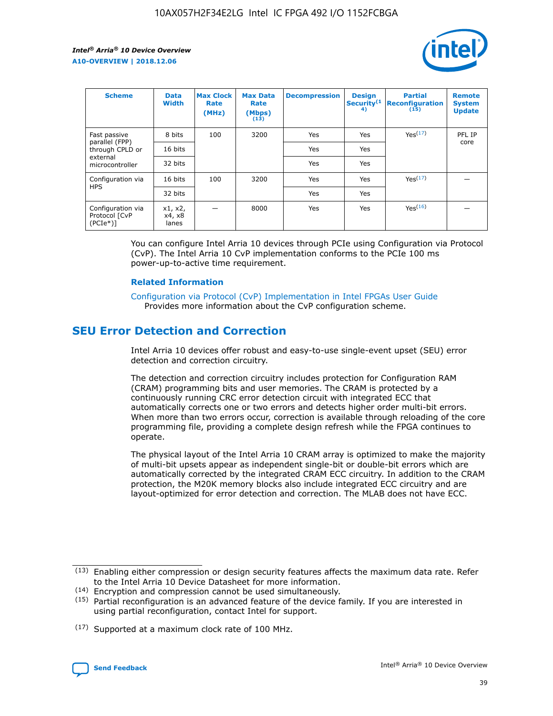

| <b>Scheme</b>                                    | <b>Data</b><br><b>Width</b> | <b>Max Clock</b><br>Rate<br>(MHz) | <b>Max Data</b><br>Rate<br>(Mbps)<br>(13) | <b>Decompression</b> | <b>Design</b><br>Security <sup>(1</sup><br>4) | <b>Partial</b><br><b>Reconfiguration</b><br>(15) | <b>Remote</b><br><b>System</b><br><b>Update</b> |
|--------------------------------------------------|-----------------------------|-----------------------------------|-------------------------------------------|----------------------|-----------------------------------------------|--------------------------------------------------|-------------------------------------------------|
| Fast passive                                     | 8 bits                      | 100                               | 3200                                      | <b>Yes</b>           | Yes                                           | Yes(17)                                          | PFL IP                                          |
| parallel (FPP)<br>through CPLD or                | 16 bits                     |                                   |                                           | Yes                  | Yes                                           |                                                  | core                                            |
| external<br>microcontroller                      | 32 bits                     |                                   |                                           | Yes                  | Yes                                           |                                                  |                                                 |
| Configuration via                                | 16 bits                     | 100                               | 3200                                      | Yes                  | Yes                                           | Yes <sup>(17)</sup>                              |                                                 |
| <b>HPS</b>                                       | 32 bits                     |                                   |                                           | Yes                  | Yes                                           |                                                  |                                                 |
| Configuration via<br>Protocol [CvP<br>$(PCIe^*)$ | x1, x2,<br>x4, x8<br>lanes  |                                   | 8000                                      | Yes                  | Yes                                           | Yes <sup>(16)</sup>                              |                                                 |

You can configure Intel Arria 10 devices through PCIe using Configuration via Protocol (CvP). The Intel Arria 10 CvP implementation conforms to the PCIe 100 ms power-up-to-active time requirement.

#### **Related Information**

[Configuration via Protocol \(CvP\) Implementation in Intel FPGAs User Guide](https://www.intel.com/content/www/us/en/programmable/documentation/dsu1441819344145.html#dsu1442269728522) Provides more information about the CvP configuration scheme.

# **SEU Error Detection and Correction**

Intel Arria 10 devices offer robust and easy-to-use single-event upset (SEU) error detection and correction circuitry.

The detection and correction circuitry includes protection for Configuration RAM (CRAM) programming bits and user memories. The CRAM is protected by a continuously running CRC error detection circuit with integrated ECC that automatically corrects one or two errors and detects higher order multi-bit errors. When more than two errors occur, correction is available through reloading of the core programming file, providing a complete design refresh while the FPGA continues to operate.

The physical layout of the Intel Arria 10 CRAM array is optimized to make the majority of multi-bit upsets appear as independent single-bit or double-bit errors which are automatically corrected by the integrated CRAM ECC circuitry. In addition to the CRAM protection, the M20K memory blocks also include integrated ECC circuitry and are layout-optimized for error detection and correction. The MLAB does not have ECC.

<sup>(17)</sup> Supported at a maximum clock rate of 100 MHz.



 $(13)$  Enabling either compression or design security features affects the maximum data rate. Refer to the Intel Arria 10 Device Datasheet for more information.

<sup>(14)</sup> Encryption and compression cannot be used simultaneously.

 $(15)$  Partial reconfiguration is an advanced feature of the device family. If you are interested in using partial reconfiguration, contact Intel for support.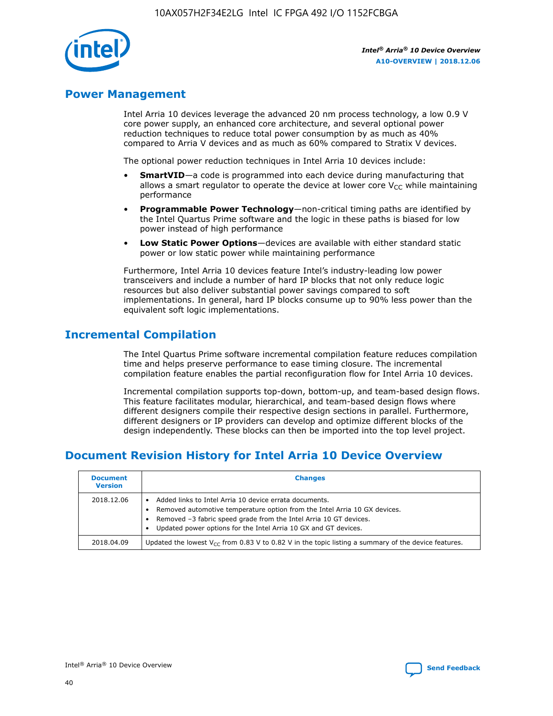

# **Power Management**

Intel Arria 10 devices leverage the advanced 20 nm process technology, a low 0.9 V core power supply, an enhanced core architecture, and several optional power reduction techniques to reduce total power consumption by as much as 40% compared to Arria V devices and as much as 60% compared to Stratix V devices.

The optional power reduction techniques in Intel Arria 10 devices include:

- **SmartVID**—a code is programmed into each device during manufacturing that allows a smart regulator to operate the device at lower core  $V_{CC}$  while maintaining performance
- **Programmable Power Technology**—non-critical timing paths are identified by the Intel Quartus Prime software and the logic in these paths is biased for low power instead of high performance
- **Low Static Power Options**—devices are available with either standard static power or low static power while maintaining performance

Furthermore, Intel Arria 10 devices feature Intel's industry-leading low power transceivers and include a number of hard IP blocks that not only reduce logic resources but also deliver substantial power savings compared to soft implementations. In general, hard IP blocks consume up to 90% less power than the equivalent soft logic implementations.

# **Incremental Compilation**

The Intel Quartus Prime software incremental compilation feature reduces compilation time and helps preserve performance to ease timing closure. The incremental compilation feature enables the partial reconfiguration flow for Intel Arria 10 devices.

Incremental compilation supports top-down, bottom-up, and team-based design flows. This feature facilitates modular, hierarchical, and team-based design flows where different designers compile their respective design sections in parallel. Furthermore, different designers or IP providers can develop and optimize different blocks of the design independently. These blocks can then be imported into the top level project.

# **Document Revision History for Intel Arria 10 Device Overview**

| <b>Document</b><br><b>Version</b> | <b>Changes</b>                                                                                                                                                                                                                                                              |
|-----------------------------------|-----------------------------------------------------------------------------------------------------------------------------------------------------------------------------------------------------------------------------------------------------------------------------|
| 2018.12.06                        | Added links to Intel Arria 10 device errata documents.<br>Removed automotive temperature option from the Intel Arria 10 GX devices.<br>Removed -3 fabric speed grade from the Intel Arria 10 GT devices.<br>Updated power options for the Intel Arria 10 GX and GT devices. |
| 2018.04.09                        | Updated the lowest $V_{CC}$ from 0.83 V to 0.82 V in the topic listing a summary of the device features.                                                                                                                                                                    |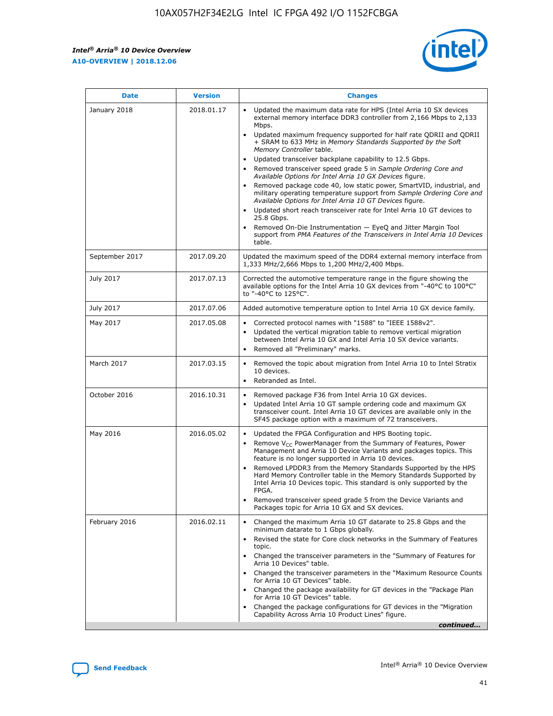*Intel® Arria® 10 Device Overview* **A10-OVERVIEW | 2018.12.06**



| <b>Date</b>    | <b>Version</b> | <b>Changes</b>                                                                                                                                                                                                                                                                                                                                                                                                                                                                                                                                                                                                                                                                                                                                                                                                                                                                                                                                                            |
|----------------|----------------|---------------------------------------------------------------------------------------------------------------------------------------------------------------------------------------------------------------------------------------------------------------------------------------------------------------------------------------------------------------------------------------------------------------------------------------------------------------------------------------------------------------------------------------------------------------------------------------------------------------------------------------------------------------------------------------------------------------------------------------------------------------------------------------------------------------------------------------------------------------------------------------------------------------------------------------------------------------------------|
| January 2018   | 2018.01.17     | Updated the maximum data rate for HPS (Intel Arria 10 SX devices<br>external memory interface DDR3 controller from 2,166 Mbps to 2,133<br>Mbps.<br>Updated maximum frequency supported for half rate QDRII and QDRII<br>+ SRAM to 633 MHz in Memory Standards Supported by the Soft<br>Memory Controller table.<br>Updated transceiver backplane capability to 12.5 Gbps.<br>$\bullet$<br>Removed transceiver speed grade 5 in Sample Ordering Core and<br>Available Options for Intel Arria 10 GX Devices figure.<br>Removed package code 40, low static power, SmartVID, industrial, and<br>military operating temperature support from Sample Ordering Core and<br>Available Options for Intel Arria 10 GT Devices figure.<br>Updated short reach transceiver rate for Intel Arria 10 GT devices to<br>25.8 Gbps.<br>Removed On-Die Instrumentation - EyeQ and Jitter Margin Tool<br>support from PMA Features of the Transceivers in Intel Arria 10 Devices<br>table. |
| September 2017 | 2017.09.20     | Updated the maximum speed of the DDR4 external memory interface from<br>1,333 MHz/2,666 Mbps to 1,200 MHz/2,400 Mbps.                                                                                                                                                                                                                                                                                                                                                                                                                                                                                                                                                                                                                                                                                                                                                                                                                                                     |
| July 2017      | 2017.07.13     | Corrected the automotive temperature range in the figure showing the<br>available options for the Intel Arria 10 GX devices from "-40°C to 100°C"<br>to "-40°C to 125°C".                                                                                                                                                                                                                                                                                                                                                                                                                                                                                                                                                                                                                                                                                                                                                                                                 |
| July 2017      | 2017.07.06     | Added automotive temperature option to Intel Arria 10 GX device family.                                                                                                                                                                                                                                                                                                                                                                                                                                                                                                                                                                                                                                                                                                                                                                                                                                                                                                   |
| May 2017       | 2017.05.08     | Corrected protocol names with "1588" to "IEEE 1588v2".<br>$\bullet$<br>Updated the vertical migration table to remove vertical migration<br>$\bullet$<br>between Intel Arria 10 GX and Intel Arria 10 SX device variants.<br>Removed all "Preliminary" marks.<br>$\bullet$                                                                                                                                                                                                                                                                                                                                                                                                                                                                                                                                                                                                                                                                                                |
| March 2017     | 2017.03.15     | Removed the topic about migration from Intel Arria 10 to Intel Stratix<br>10 devices.<br>Rebranded as Intel.<br>$\bullet$                                                                                                                                                                                                                                                                                                                                                                                                                                                                                                                                                                                                                                                                                                                                                                                                                                                 |
| October 2016   | 2016.10.31     | Removed package F36 from Intel Arria 10 GX devices.<br>Updated Intel Arria 10 GT sample ordering code and maximum GX<br>$\bullet$<br>transceiver count. Intel Arria 10 GT devices are available only in the<br>SF45 package option with a maximum of 72 transceivers.                                                                                                                                                                                                                                                                                                                                                                                                                                                                                                                                                                                                                                                                                                     |
| May 2016       | 2016.05.02     | Updated the FPGA Configuration and HPS Booting topic.<br>$\bullet$<br>Remove V <sub>CC</sub> PowerManager from the Summary of Features, Power<br>Management and Arria 10 Device Variants and packages topics. This<br>feature is no longer supported in Arria 10 devices.<br>Removed LPDDR3 from the Memory Standards Supported by the HPS<br>Hard Memory Controller table in the Memory Standards Supported by<br>Intel Arria 10 Devices topic. This standard is only supported by the<br>FPGA.<br>Removed transceiver speed grade 5 from the Device Variants and<br>Packages topic for Arria 10 GX and SX devices.                                                                                                                                                                                                                                                                                                                                                      |
| February 2016  | 2016.02.11     | Changed the maximum Arria 10 GT datarate to 25.8 Gbps and the<br>minimum datarate to 1 Gbps globally.<br>Revised the state for Core clock networks in the Summary of Features<br>$\bullet$<br>topic.<br>Changed the transceiver parameters in the "Summary of Features for<br>$\bullet$<br>Arria 10 Devices" table.<br>• Changed the transceiver parameters in the "Maximum Resource Counts<br>for Arria 10 GT Devices" table.<br>Changed the package availability for GT devices in the "Package Plan<br>for Arria 10 GT Devices" table.<br>Changed the package configurations for GT devices in the "Migration"<br>Capability Across Arria 10 Product Lines" figure.<br>continued                                                                                                                                                                                                                                                                                       |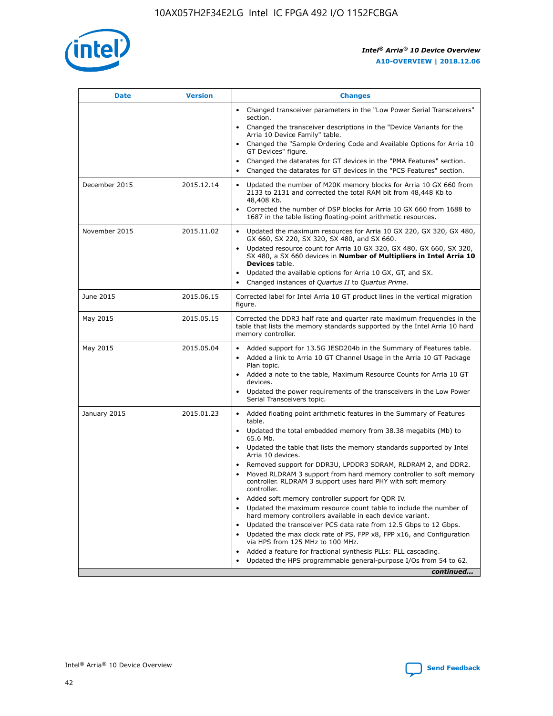

| <b>Date</b>   | <b>Version</b> | <b>Changes</b>                                                                                                                                                               |
|---------------|----------------|------------------------------------------------------------------------------------------------------------------------------------------------------------------------------|
|               |                | • Changed transceiver parameters in the "Low Power Serial Transceivers"<br>section.                                                                                          |
|               |                | • Changed the transceiver descriptions in the "Device Variants for the<br>Arria 10 Device Family" table.                                                                     |
|               |                | Changed the "Sample Ordering Code and Available Options for Arria 10<br>$\bullet$<br>GT Devices" figure.                                                                     |
|               |                | Changed the datarates for GT devices in the "PMA Features" section.                                                                                                          |
|               |                | Changed the datarates for GT devices in the "PCS Features" section.<br>$\bullet$                                                                                             |
| December 2015 | 2015.12.14     | Updated the number of M20K memory blocks for Arria 10 GX 660 from<br>2133 to 2131 and corrected the total RAM bit from 48,448 Kb to<br>48,408 Kb.                            |
|               |                | Corrected the number of DSP blocks for Arria 10 GX 660 from 1688 to<br>1687 in the table listing floating-point arithmetic resources.                                        |
| November 2015 | 2015.11.02     | Updated the maximum resources for Arria 10 GX 220, GX 320, GX 480,<br>$\bullet$<br>GX 660, SX 220, SX 320, SX 480, and SX 660.                                               |
|               |                | • Updated resource count for Arria 10 GX 320, GX 480, GX 660, SX 320,<br>SX 480, a SX 660 devices in Number of Multipliers in Intel Arria 10<br><b>Devices</b> table.        |
|               |                | Updated the available options for Arria 10 GX, GT, and SX.                                                                                                                   |
|               |                | Changed instances of Quartus II to Quartus Prime.<br>$\bullet$                                                                                                               |
| June 2015     | 2015.06.15     | Corrected label for Intel Arria 10 GT product lines in the vertical migration<br>figure.                                                                                     |
| May 2015      | 2015.05.15     | Corrected the DDR3 half rate and quarter rate maximum frequencies in the<br>table that lists the memory standards supported by the Intel Arria 10 hard<br>memory controller. |
| May 2015      | 2015.05.04     | • Added support for 13.5G JESD204b in the Summary of Features table.<br>• Added a link to Arria 10 GT Channel Usage in the Arria 10 GT Package<br>Plan topic.                |
|               |                | • Added a note to the table, Maximum Resource Counts for Arria 10 GT<br>devices.                                                                                             |
|               |                | • Updated the power requirements of the transceivers in the Low Power<br>Serial Transceivers topic.                                                                          |
| January 2015  | 2015.01.23     | • Added floating point arithmetic features in the Summary of Features<br>table.                                                                                              |
|               |                | • Updated the total embedded memory from 38.38 megabits (Mb) to<br>65.6 Mb.                                                                                                  |
|               |                | • Updated the table that lists the memory standards supported by Intel<br>Arria 10 devices.                                                                                  |
|               |                | Removed support for DDR3U, LPDDR3 SDRAM, RLDRAM 2, and DDR2.                                                                                                                 |
|               |                | Moved RLDRAM 3 support from hard memory controller to soft memory<br>controller. RLDRAM 3 support uses hard PHY with soft memory<br>controller.                              |
|               |                | Added soft memory controller support for QDR IV.<br>٠                                                                                                                        |
|               |                | Updated the maximum resource count table to include the number of<br>hard memory controllers available in each device variant.                                               |
|               |                | Updated the transceiver PCS data rate from 12.5 Gbps to 12 Gbps.<br>$\bullet$                                                                                                |
|               |                | Updated the max clock rate of PS, FPP x8, FPP x16, and Configuration<br>via HPS from 125 MHz to 100 MHz.                                                                     |
|               |                | Added a feature for fractional synthesis PLLs: PLL cascading.                                                                                                                |
|               |                | Updated the HPS programmable general-purpose I/Os from 54 to 62.<br>$\bullet$<br>continued                                                                                   |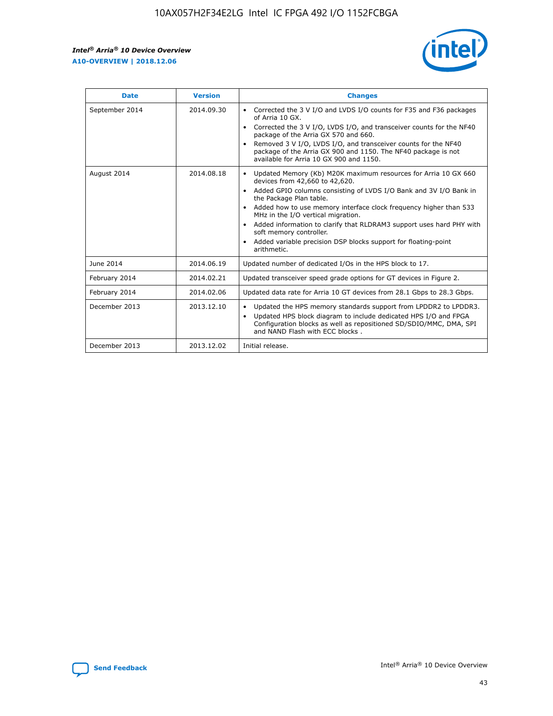r



| <b>Date</b>    | <b>Version</b> | <b>Changes</b>                                                                                                                                                                                                                                                                                                                                                                                                                                                                                                                                      |
|----------------|----------------|-----------------------------------------------------------------------------------------------------------------------------------------------------------------------------------------------------------------------------------------------------------------------------------------------------------------------------------------------------------------------------------------------------------------------------------------------------------------------------------------------------------------------------------------------------|
| September 2014 | 2014.09.30     | Corrected the 3 V I/O and LVDS I/O counts for F35 and F36 packages<br>$\bullet$<br>of Arria 10 GX.<br>Corrected the 3 V I/O, LVDS I/O, and transceiver counts for the NF40<br>$\bullet$<br>package of the Arria GX 570 and 660.<br>Removed 3 V I/O, LVDS I/O, and transceiver counts for the NF40<br>$\bullet$<br>package of the Arria GX 900 and 1150. The NF40 package is not<br>available for Arria 10 GX 900 and 1150.                                                                                                                          |
| August 2014    | 2014.08.18     | Updated Memory (Kb) M20K maximum resources for Arria 10 GX 660<br>devices from 42,660 to 42,620.<br>Added GPIO columns consisting of LVDS I/O Bank and 3V I/O Bank in<br>$\bullet$<br>the Package Plan table.<br>Added how to use memory interface clock frequency higher than 533<br>$\bullet$<br>MHz in the I/O vertical migration.<br>Added information to clarify that RLDRAM3 support uses hard PHY with<br>$\bullet$<br>soft memory controller.<br>Added variable precision DSP blocks support for floating-point<br>$\bullet$<br>arithmetic. |
| June 2014      | 2014.06.19     | Updated number of dedicated I/Os in the HPS block to 17.                                                                                                                                                                                                                                                                                                                                                                                                                                                                                            |
| February 2014  | 2014.02.21     | Updated transceiver speed grade options for GT devices in Figure 2.                                                                                                                                                                                                                                                                                                                                                                                                                                                                                 |
| February 2014  | 2014.02.06     | Updated data rate for Arria 10 GT devices from 28.1 Gbps to 28.3 Gbps.                                                                                                                                                                                                                                                                                                                                                                                                                                                                              |
| December 2013  | 2013.12.10     | Updated the HPS memory standards support from LPDDR2 to LPDDR3.<br>Updated HPS block diagram to include dedicated HPS I/O and FPGA<br>$\bullet$<br>Configuration blocks as well as repositioned SD/SDIO/MMC, DMA, SPI<br>and NAND Flash with ECC blocks.                                                                                                                                                                                                                                                                                            |
| December 2013  | 2013.12.02     | Initial release.                                                                                                                                                                                                                                                                                                                                                                                                                                                                                                                                    |